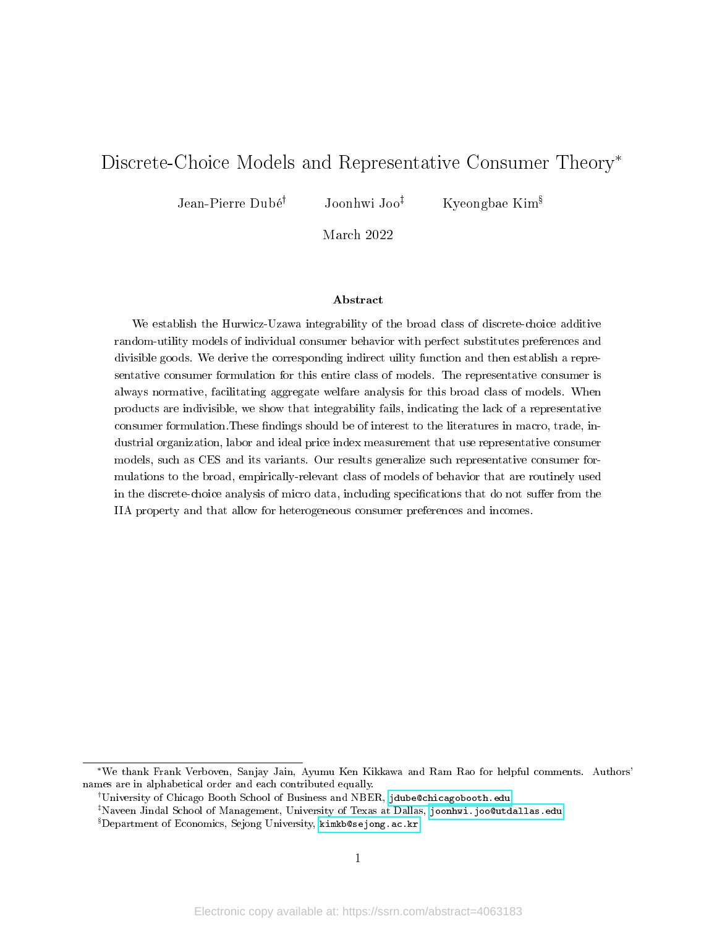# Discrete-Choice Models and Representative Consumer Theory\*

Jean-Pierre Dubé<sup>†</sup> Joonhwi Joo<sup>‡</sup> Kyeongbae Kim<sup>§</sup>

March 2022

#### Abstract

We establish the Hurwicz-Uzawa integrability of the broad class of discrete-choice additive random-utility models of individual consumer behavior with perfect substitutes preferences and divisible goods. We derive the corresponding indirect uility function and then establish a representative consumer formulation for this entire class of models. The representative consumer is always normative, facilitating aggregate welfare analysis for this broad class of models. When products are indivisible, we show that integrability fails, indicating the lack of a representative consumer formulation. These findings should be of interest to the literatures in macro, trade, industrial organization, labor and ideal price index measurement that use representative consumer models, such as CES and its variants. Our results generalize such representative consumer formulations to the broad, empirically-relevant class of models of behavior that are routinely used in the discrete-choice analysis of micro data, including specifications that do not suffer from the IIA property and that allow for heterogeneous consumer preferences and incomes.

<sup>\*</sup>We thank Frank Verboven, Sanjay Jain, Ayumu Ken Kikkawa and Ram Rao for helpful comments. Authors' names are in alphabetical order and each contributed equally.

University of Chicago Booth School of Business and NBER, [jdube@chicagobooth.edu](mailto:jdube@chicagobooth.edu)

Naveen Jindal School of Management, University of Texas at Dallas, [joonhwi.joo@utdallas.edu](mailto:joonhwi.joo@utdallas.edu)

Department of Economics, Sejong University, [kimkb@sejong.ac.kr](mailto:kimkb@sejong.ac.kr)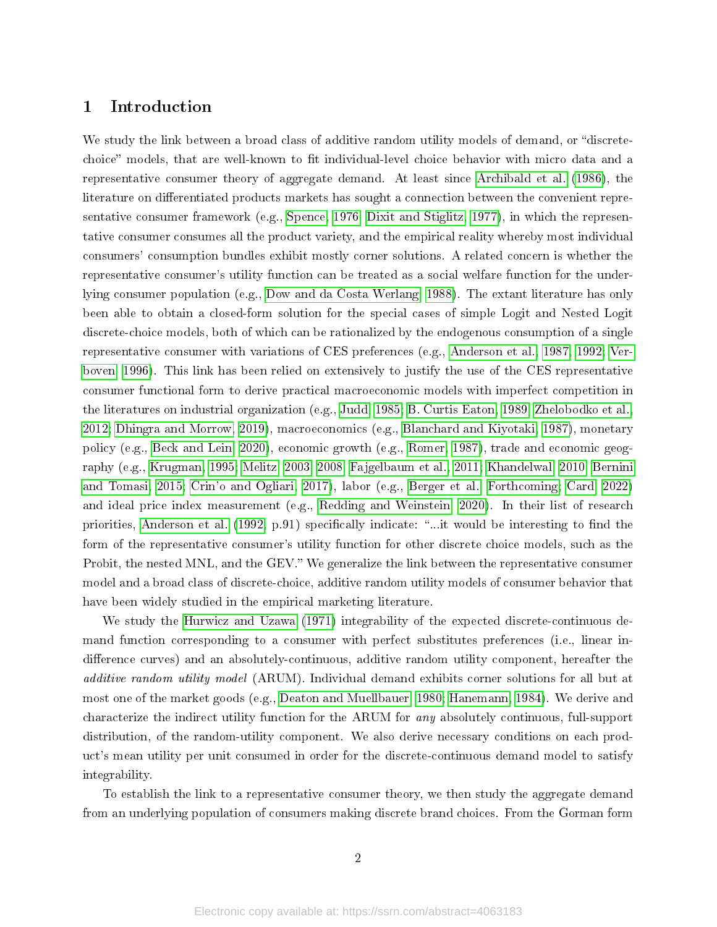# 1 Introduction

We study the link between a broad class of additive random utility models of demand, or "discretechoice" models, that are well-known to fit individual-level choice behavior with micro data and a representative consumer theory of aggregate demand. At least since [Archibald et al.](#page-16-0) [\(1986\)](#page-16-0), the literature on differentiated products markets has sought a connection between the convenient representative consumer framework (e.g., [Spence, 1976;](#page-19-0) [Dixit and Stiglitz, 1977\)](#page-17-0), in which the representative consumer consumes all the product variety, and the empirical reality whereby most individual consumers' consumption bundles exhibit mostly corner solutions. A related concern is whether the representative consumer's utility function can be treated as a social welfare function for the underlying consumer population (e.g., [Dow and da Costa Werlang, 1988\)](#page-17-1). The extant literature has only been able to obtain a closed-form solution for the special cases of simple Logit and Nested Logit discrete-choice models, both of which can be rationalized by the endogenous consumption of a single representative consumer with variations of CES preferences (e.g., [Anderson et al., 1987,](#page-16-1) [1992;](#page-16-2) [Ver](#page-19-1)[boven, 1996\)](#page-19-1). This link has been relied on extensively to justify the use of the CES representative consumer functional form to derive practical macroeconomic models with imperfect competition in the literatures on industrial organization (e.g., [Judd, 1985;](#page-18-0) [B. Curtis Eaton, 1989;](#page-16-3) [Zhelobodko et al.,](#page-20-0) [2012;](#page-20-0) [Dhingra and Morrow, 2019\)](#page-17-2), macroeconomics (e.g., [Blanchard and Kiyotaki, 1987\)](#page-16-4), monetary policy (e.g., [Beck and Lein, 2020\)](#page-16-5), economic growth (e.g., [Romer, 1987\)](#page-19-2), trade and economic geography (e.g., [Krugman, 1995;](#page-18-1) [Melitz, 2003,](#page-19-3) [2008;](#page-19-4) [Fajgelbaum et al., 2011;](#page-17-3) [Khandelwal, 2010;](#page-18-2) [Bernini](#page-16-6) [and Tomasi, 2015;](#page-16-6) [Crin'o and Ogliari, 2017\)](#page-17-4), labor (e.g., [Berger et al., Forthcoming;](#page-16-7) [Card, 2022\)](#page-17-5) and ideal price index measurement (e.g., [Redding and Weinstein, 2020\)](#page-19-5). In their list of research priorities, [Anderson et al.](#page-16-2) [\(1992,](#page-16-2) p.91) specifically indicate: "...it would be interesting to find the form of the representative consumer's utility function for other discrete choice models, such as the Probit, the nested MNL, and the GEV." We generalize the link between the representative consumer model and a broad class of discrete-choice, additive random utility models of consumer behavior that have been widely studied in the empirical marketing literature.

We study the [Hurwicz and Uzawa](#page-18-3) [\(1971\)](#page-18-3) integrability of the expected discrete-continuous demand function corresponding to a consumer with perfect substitutes preferences (i.e., linear indifference curves) and an absolutely-continuous, additive random utility component, hereafter the additive random utility model (ARUM). Individual demand exhibits corner solutions for all but at most one of the market goods (e.g., [Deaton and Muellbauer, 1980;](#page-17-6) [Hanemann, 1984\)](#page-18-4). We derive and characterize the indirect utility function for the ARUM for any absolutely continuous, full-support distribution, of the random-utility component. We also derive necessary conditions on each product's mean utility per unit consumed in order for the discrete-continuous demand model to satisfy integrability.

To establish the link to a representative consumer theory, we then study the aggregate demand from an underlying population of consumers making discrete brand choices. From the Gorman form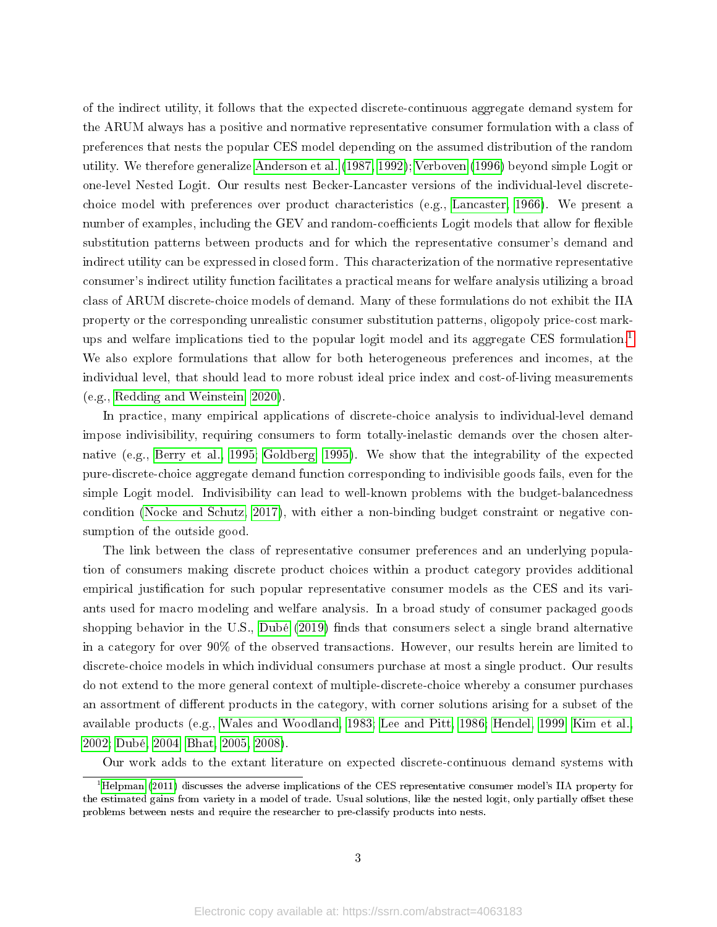of the indirect utility, it follows that the expected discrete-continuous aggregate demand system for the ARUM always has a positive and normative representative consumer formulation with a class of preferences that nests the popular CES model depending on the assumed distribution of the random utility. We therefore generalize [Anderson et al.](#page-16-1) [\(1987,](#page-16-1) [1992\)](#page-16-2); [Verboven](#page-19-1) [\(1996\)](#page-19-1) beyond simple Logit or one-level Nested Logit. Our results nest Becker-Lancaster versions of the individual-level discretechoice model with preferences over product characteristics (e.g., [Lancaster, 1966\)](#page-18-5). We present a number of examples, including the GEV and random-coefficients Logit models that allow for flexible substitution patterns between products and for which the representative consumer's demand and indirect utility can be expressed in closed form. This characterization of the normative representative consumer's indirect utility function facilitates a practical means for welfare analysis utilizing a broad class of ARUM discrete-choice models of demand. Many of these formulations do not exhibit the IIA property or the corresponding unrealistic consumer substitution patterns, oligopoly price-cost mark-ups and welfare implications tied to the popular logit model and its aggregate CES formulation.<sup>[1](#page-2-0)</sup> We also explore formulations that allow for both heterogeneous preferences and incomes, at the individual level, that should lead to more robust ideal price index and cost-of-living measurements (e.g., [Redding and Weinstein, 2020\)](#page-19-5).

In practice, many empirical applications of discrete-choice analysis to individual-level demand impose indivisibility, requiring consumers to form totally-inelastic demands over the chosen alternative (e.g., [Berry et al., 1995;](#page-16-8) [Goldberg, 1995\)](#page-18-6). We show that the integrability of the expected pure-discrete-choice aggregate demand function corresponding to indivisible goods fails, even for the simple Logit model. Indivisibility can lead to well-known problems with the budget-balancedness condition [\(Nocke and Schutz, 2017\)](#page-19-6), with either a non-binding budget constraint or negative consumption of the outside good.

The link between the class of representative consumer preferences and an underlying population of consumers making discrete product choices within a product category provides additional empirical justification for such popular representative consumer models as the CES and its variants used for macro modeling and welfare analysis. In a broad study of consumer packaged goods shopping behavior in the U.S., [Dubé](#page-17-7)  $(2019)$  finds that consumers select a single brand alternative in a category for over 90% of the observed transactions. However, our results herein are limited to discrete-choice models in which individual consumers purchase at most a single product. Our results do not extend to the more general context of multiple-discrete-choice whereby a consumer purchases an assortment of different products in the category, with corner solutions arising for a subset of the available products (e.g., [Wales and Woodland, 1983;](#page-19-7) [Lee and Pitt, 1986;](#page-18-7) [Hendel, 1999;](#page-18-8) [Kim et al.,](#page-18-9) [2002;](#page-18-9) [Dubé, 2004;](#page-17-8) [Bhat, 2005,](#page-16-9) [2008\)](#page-16-10).

<span id="page-2-0"></span>Our work adds to the extant literature on expected discrete-continuous demand systems with

 $1<sup>1</sup>$ [Helpman](#page-18-10) [\(2011\)](#page-18-10) discusses the adverse implications of the CES representative consumer model's IIA property for the estimated gains from variety in a model of trade. Usual solutions, like the nested logit, only partially offset these problems between nests and require the researcher to pre-classify products into nests.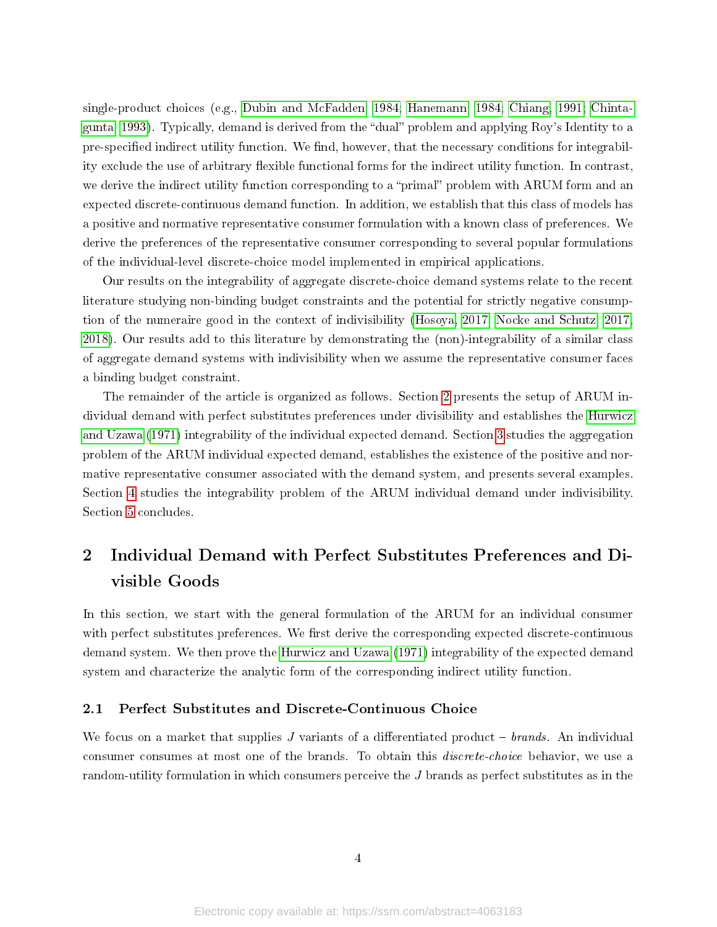single-product choices (e.g., [Dubin and McFadden, 1984;](#page-17-9) [Hanemann, 1984;](#page-18-4) [Chiang, 1991;](#page-17-10) [Chinta](#page-17-11)[gunta, 1993\)](#page-17-11). Typically, demand is derived from the "dual" problem and applying Roy's Identity to a pre-specified indirect utility function. We find, however, that the necessary conditions for integrability exclude the use of arbitrary flexible functional forms for the indirect utility function. In contrast, we derive the indirect utility function corresponding to a "primal" problem with ARUM form and an expected discrete-continuous demand function. In addition, we establish that this class of models has a positive and normative representative consumer formulation with a known class of preferences. We derive the preferences of the representative consumer corresponding to several popular formulations of the individual-level discrete-choice model implemented in empirical applications.

Our results on the integrability of aggregate discrete-choice demand systems relate to the recent literature studying non-binding budget constraints and the potential for strictly negative consumption of the numeraire good in the context of indivisibility [\(Hosoya, 2017;](#page-18-11) [Nocke and Schutz, 2017,](#page-19-6) [2018\)](#page-19-8). Our results add to this literature by demonstrating the (non)-integrability of a similar class of aggregate demand systems with indivisibility when we assume the representative consumer faces a binding budget constraint.

The remainder of the article is organized as follows. Section [2](#page-3-0) presents the setup of ARUM individual demand with perfect substitutes preferences under divisibility and establishes the [Hurwicz](#page-18-3) [and Uzawa](#page-18-3) [\(1971\)](#page-18-3) integrability of the individual expected demand. Section [3](#page-7-0) studies the aggregation problem of the ARUM individual expected demand, establishes the existence of the positive and normative representative consumer associated with the demand system, and presents several examples. Section [4](#page-13-0) studies the integrability problem of the ARUM individual demand under indivisibility. Section [5](#page-15-0) concludes.

# <span id="page-3-0"></span>2 Individual Demand with Perfect Substitutes Preferences and Divisible Goods

In this section, we start with the general formulation of the ARUM for an individual consumer with perfect substitutes preferences. We first derive the corresponding expected discrete-continuous demand system. We then prove the [Hurwicz and Uzawa](#page-18-3) [\(1971\)](#page-18-3) integrability of the expected demand system and characterize the analytic form of the corresponding indirect utility function.

## <span id="page-3-1"></span>2.1 Perfect Substitutes and Discrete-Continuous Choice

We focus on a market that supplies J variants of a differentiated product  $-$  brands. An individual consumer consumes at most one of the brands. To obtain this discrete-choice behavior, we use a random-utility formulation in which consumers perceive the J brands as perfect substitutes as in the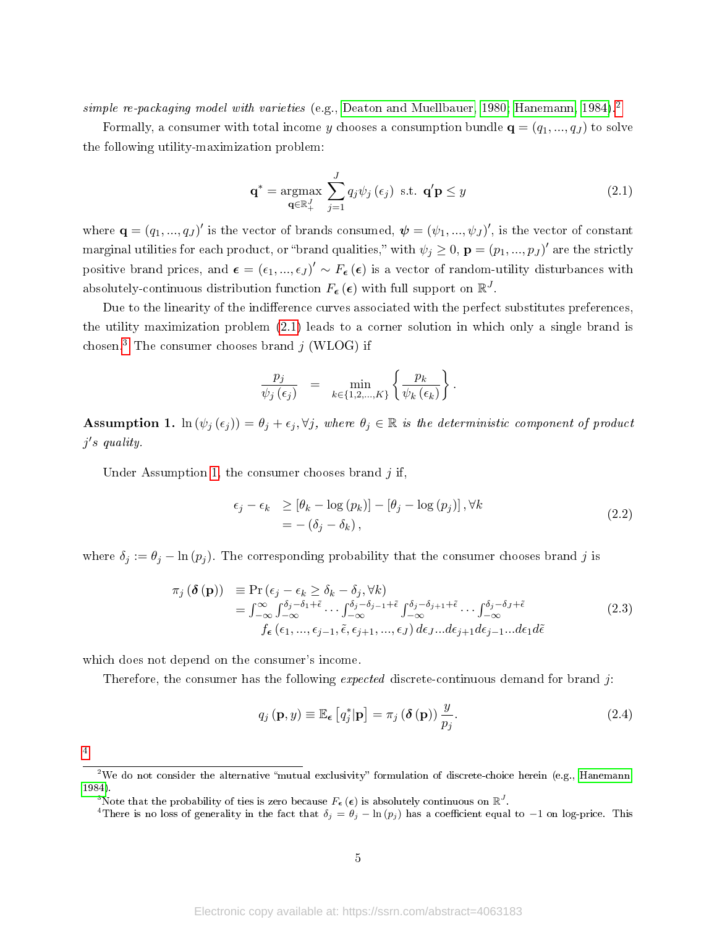simple re-packaging model with varieties (e.g., [Deaton and Muellbauer, 1980;](#page-17-6) [Hanemann, 1984\)](#page-18-4).<sup>[2](#page-4-0)</sup>

Formally, a consumer with total income y chooses a consumption bundle  $\mathbf{q} = (q_1, ..., q_J)$  to solve the following utility-maximization problem:

<span id="page-4-1"></span>
$$
\mathbf{q}^* = \underset{\mathbf{q} \in \mathbb{R}_+^J}{\text{argmax}} \sum_{j=1}^J q_j \psi_j \left( \epsilon_j \right) \text{ s.t. } \mathbf{q}' \mathbf{p} \le y \tag{2.1}
$$

where  $\mathbf{q} = (q_1, ..., q_J)'$  is the vector of brands consumed,  $\boldsymbol{\psi} = (\psi_1, ..., \psi_J)'$ , is the vector of constant marginal utilities for each product, or "brand qualities," with  $\psi_j \geq 0$ ,  $\mathbf{p} = (p_1, ..., p_J)'$  are the strictly positive brand prices, and  $\epsilon = (\epsilon_1, ..., \epsilon_J)' \sim F_{\epsilon}(\epsilon)$  is a vector of random-utility disturbances with absolutely-continuous distribution function  $F_{\bm{\epsilon}}\left(\bm{\epsilon}\right)$  with full support on  $\mathbb{R}^{J}$ .

Due to the linearity of the indifference curves associated with the perfect substitutes preferences. the utility maximization problem [\(2.1\)](#page-4-1) leads to a corner solution in which only a single brand is chosen.<sup>[3](#page-4-2)</sup> The consumer chooses brand  $j$  (WLOG) if

$$
\frac{p_j}{\psi_j(\epsilon_j)} = \min_{k \in \{1, 2, \dots, K\}} \left\{ \frac{p_k}{\psi_k(\epsilon_k)} \right\}.
$$

<span id="page-4-3"></span>**Assumption 1.** ln  $(\psi_j(\epsilon_j)) = \theta_j + \epsilon_j, \forall j$ , where  $\theta_j \in \mathbb{R}$  is the deterministic component of product j ′ s quality.

Under Assumption [1,](#page-4-3) the consumer chooses brand  $j$  if,

<span id="page-4-7"></span>
$$
\epsilon_{j} - \epsilon_{k} \geq [\theta_{k} - \log (p_{k})] - [\theta_{j} - \log (p_{j})], \forall k
$$
  
= -(\delta\_{j} - \delta\_{k}), (2.2)

where  $\delta_j := \theta_j - \ln(p_j)$ . The corresponding probability that the consumer chooses brand j is

<span id="page-4-5"></span>
$$
\pi_j(\boldsymbol{\delta}(\mathbf{p})) = \Pr(\epsilon_j - \epsilon_k \ge \delta_k - \delta_j, \forall k)
$$
  
\n
$$
= \int_{-\infty}^{\infty} \int_{-\infty}^{\delta_j - \delta_1 + \tilde{\epsilon}} \cdots \int_{-\infty}^{\delta_j - \delta_{j-1} + \tilde{\epsilon}} \int_{-\infty}^{\delta_j - \delta_{j+1} + \tilde{\epsilon}} \cdots \int_{-\infty}^{\delta_j - \delta_j + \tilde{\epsilon}} d\xi
$$
  
\n
$$
f_{\epsilon}(\epsilon_1, ..., \epsilon_{j-1}, \tilde{\epsilon}, \epsilon_{j+1}, ..., \epsilon_J) d\epsilon_j ... d\epsilon_{j+1} d\epsilon_{j-1} ... d\epsilon_1 d\tilde{\epsilon}
$$
\n(2.3)

which does not depend on the consumer's income.

Therefore, the consumer has the following *expected* discrete-continuous demand for brand j:

<span id="page-4-6"></span>
$$
q_j(\mathbf{p}, y) \equiv \mathbb{E}_{\epsilon} [q_j^* | \mathbf{p}] = \pi_j (\delta(\mathbf{p})) \frac{y}{p_j}.
$$
 (2.4)

[4](#page-4-4)

<span id="page-4-0"></span><sup>&</sup>lt;sup>2</sup>We do not consider the alternative "mutual exclusivity" formulation of discrete-choice herein (e.g., [Hanemann,](#page-18-4) [1984\)](#page-18-4).

<span id="page-4-2"></span><sup>&</sup>lt;sup>3</sup>Note that the probability of ties is zero because  $F_{{\bm{\epsilon}}} \left( {\bm{\epsilon}} \right)$  is absolutely continuous on  $\mathbb{R}^J.$ 

<span id="page-4-4"></span><sup>&</sup>lt;sup>4</sup>There is no loss of generality in the fact that  $\delta_j = \theta_j - \ln(p_j)$  has a coefficient equal to −1 on log-price. This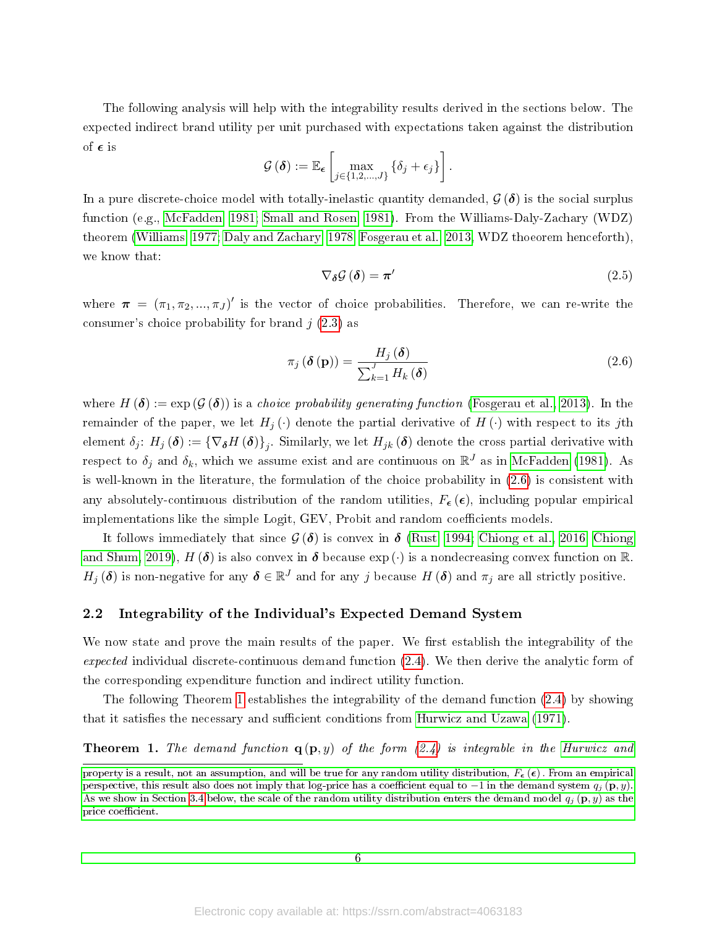The following analysis will help with the integrability results derived in the sections below. The expected indirect brand utility per unit purchased with expectations taken against the distribution of  $\epsilon$  is

$$
\mathcal{G}\left(\boldsymbol{\delta}\right) := \mathbb{E}_{\boldsymbol{\epsilon}}\left[\max_{j\in\{1,2,\ldots,J\}}\left\{\delta_j+\epsilon_j\right\}\right].
$$

In a pure discrete-choice model with totally-inelastic quantity demanded,  $\mathcal{G}(\delta)$  is the social surplus function (e.g., [McFadden, 1981;](#page-19-9) [Small and Rosen, 1981\)](#page-19-10). From the Williams-Daly-Zachary (WDZ) theorem [\(Williams, 1977;](#page-20-1) [Daly and Zachary, 1978;](#page-17-12) [Fosgerau et al., 2013,](#page-18-12) WDZ thoeorem henceforth), we know that:

<span id="page-5-0"></span>
$$
\nabla_{\delta} \mathcal{G} \left( \delta \right) = \pi' \tag{2.5}
$$

where  $\pi = (\pi_1, \pi_2, ..., \pi_J)'$  is the vector of choice probabilities. Therefore, we can re-write the consumer's choice probability for brand  $j(2.3)$  $j(2.3)$  as

$$
\pi_j\left(\boldsymbol{\delta}\left(\mathbf{p}\right)\right) = \frac{H_j\left(\boldsymbol{\delta}\right)}{\sum_{k=1}^J H_k\left(\boldsymbol{\delta}\right)}
$$
\n(2.6)

where  $H(\boldsymbol{\delta}) := \exp(\mathcal{G}(\boldsymbol{\delta}))$  is a choice probability generating function [\(Fosgerau et al., 2013\)](#page-18-12). In the remainder of the paper, we let  $H_i(\cdot)$  denote the partial derivative of  $H(\cdot)$  with respect to its jth element  $\delta_j$ :  $H_j\left(\bm{\delta}\right):=\{\nabla_{\bm{\delta}}H\left(\bm{\delta}\right)\}_j$ . Similarly, we let  $H_{jk}\left(\bm{\delta}\right)$  denote the cross partial derivative with respect to  $\delta_j$  and  $\delta_k$ , which we assume exist and are continuous on  $\mathbb{R}^J$  as in [McFadden](#page-19-9) [\(1981\)](#page-19-9). As is well-known in the literature, the formulation of the choice probability in [\(2.6\)](#page-5-0) is consistent with any absolutely-continuous distribution of the random utilities,  $F_{\epsilon}(\epsilon)$ , including popular empirical implementations like the simple Logit, GEV, Probit and random coefficients models.

It follows immediately that since  $\mathcal{G}(\delta)$  is convex in  $\delta$  [\(Rust, 1994;](#page-19-11) [Chiong et al., 2016;](#page-17-13) [Chiong](#page-17-14) [and Shum, 2019\)](#page-17-14),  $H(\delta)$  is also convex in  $\delta$  because exp( $\cdot$ ) is a nondecreasing convex function on  $\mathbb R$ .  $H_j(\boldsymbol{\delta})$  is non-negative for any  $\boldsymbol{\delta} \in \mathbb{R}^J$  and for any j because  $H(\boldsymbol{\delta})$  and  $\pi_j$  are all strictly positive.

### 2.2 Integrability of the Individual's Expected Demand System

We now state and prove the main results of the paper. We first establish the integrability of the expected individual discrete-continuous demand function [\(2.4\)](#page-4-6). We then derive the analytic form of the corresponding expenditure function and indirect utility function.

The following Theorem [1](#page-5-1) establishes the integrability of the demand function [\(2.4\)](#page-4-6) by showing that it satisfies the necessary and sufficient conditions from [Hurwicz and Uzawa](#page-18-3) [\(1971\)](#page-18-3).

<span id="page-5-1"></span>**Theorem 1.** The demand function  $q(p, y)$  of the form  $(2.4)$  is integrable in the [Hurwicz and](#page-18-3)

[property is a result, not an assumption, and will be true for any random utility distribution,](#page-18-3)  $F_{\epsilon}(\epsilon)$ . From an empirical perspective, this result also does not imply that log-price has a coefficient equal to  $-1$  in the demand system  $q_j$  (p, y). [As we show in Section 3.4 below, the scale of the random utility distribution enters the demand model](#page-18-3)  $q_j$  (p, y) as the price coefficient.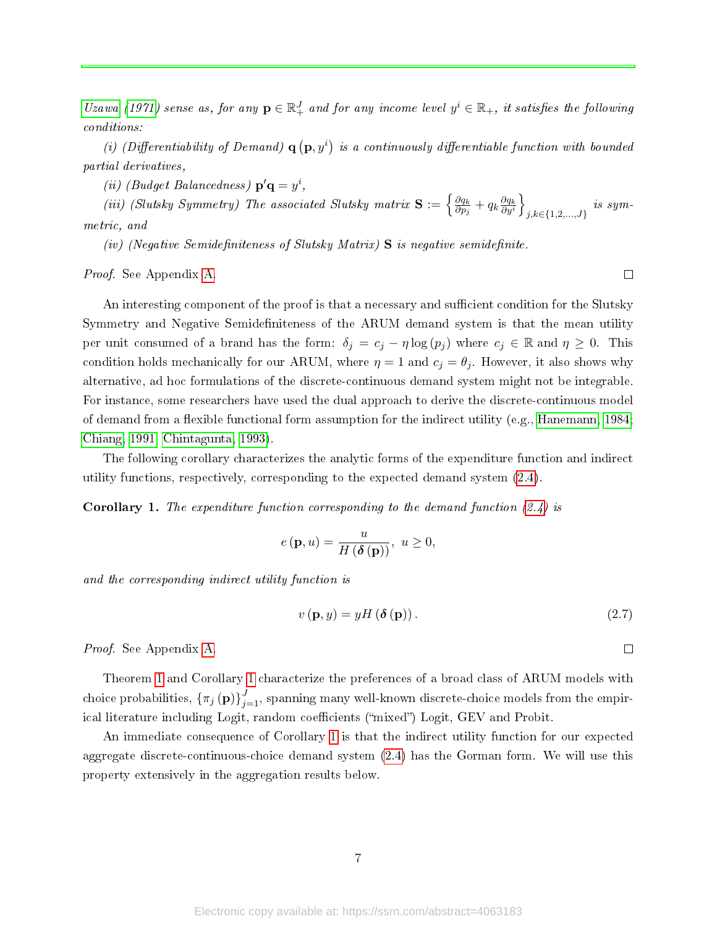[Uzawa](#page-18-3) [\(1971\)](#page-18-3) sense as, for any  $\mathbf{p} \in \mathbb{R}^J_+$  and for any income level  $y^i \in \mathbb{R}_+$ , it satisfies the following conditions:

(i) (Differentiability of Demand)  $\mathbf{q}(\mathbf{p}, y^i)$  is a continuously differentiable function with bounded partial derivatives,

(*ii*) (Budget Balancedness)  $\mathbf{p}'\mathbf{q} = y^i$ ,

(iii) (Slutsky Symmetry) The associated Slutsky matrix  $S := \begin{cases} \frac{\partial q_k}{\partial n} \end{cases}$  $\frac{\partial q_k}{\partial p_j}+q_k\frac{\partial q_k}{\partial y^i}$  $\frac{\partial q_k}{\partial y^i}\Big\}$ j,k∈{1,2,...,J} is symmetric, and

(iv) (Negative Semidefiniteness of Slutsky Matrix)  $S$  is negative semidefinite.

Proof. See Appendix [A.](#page-21-0)

An interesting component of the proof is that a necessary and sufficient condition for the Slutsky Symmetry and Negative Semidefiniteness of the ARUM demand system is that the mean utility per unit consumed of a brand has the form:  $\delta_j = c_j - \eta \log(p_j)$  where  $c_j \in \mathbb{R}$  and  $\eta \geq 0$ . This condition holds mechanically for our ARUM, where  $\eta = 1$  and  $c_j = \theta_j$ . However, it also shows why alternative, ad hoc formulations of the discrete-continuous demand system might not be integrable. For instance, some researchers have used the dual approach to derive the discrete-continuous model of demand from a flexible functional form assumption for the indirect utility (e.g., Hanemann,  $1984$ ; [Chiang, 1991;](#page-17-10) [Chintagunta, 1993\)](#page-17-11).

The following corollary characterizes the analytic forms of the expenditure function and indirect utility functions, respectively, corresponding to the expected demand system [\(2.4\)](#page-4-6).

<span id="page-6-0"></span>**Corollary 1.** The expenditure function corresponding to the demand function  $(2.4)$  is

$$
e(\mathbf{p},u) = \frac{u}{H(\delta(\mathbf{p}))}, \ u \ge 0,
$$

and the corresponding indirect utility function is

<span id="page-6-1"></span>
$$
v(\mathbf{p}, y) = yH(\delta(\mathbf{p})).
$$
\n(2.7)

 $\Box$ 

 $\Box$ 

Proof. See Appendix [A.](#page-21-0)

Theorem [1](#page-5-1) and Corollary [1](#page-6-0) characterize the preferences of a broad class of ARUM models with choice probabilities,  $\{\pi_j\left(\mathbf{p}\right)\}_{j=1}^J$ , spanning many well-known discrete-choice models from the empirical literature including Logit, random coefficients ("mixed") Logit, GEV and Probit.

An immediate consequence of Corollary [1](#page-6-0) is that the indirect utility function for our expected aggregate discrete-continuous-choice demand system [\(2.4\)](#page-4-6) has the Gorman form. We will use this property extensively in the aggregation results below.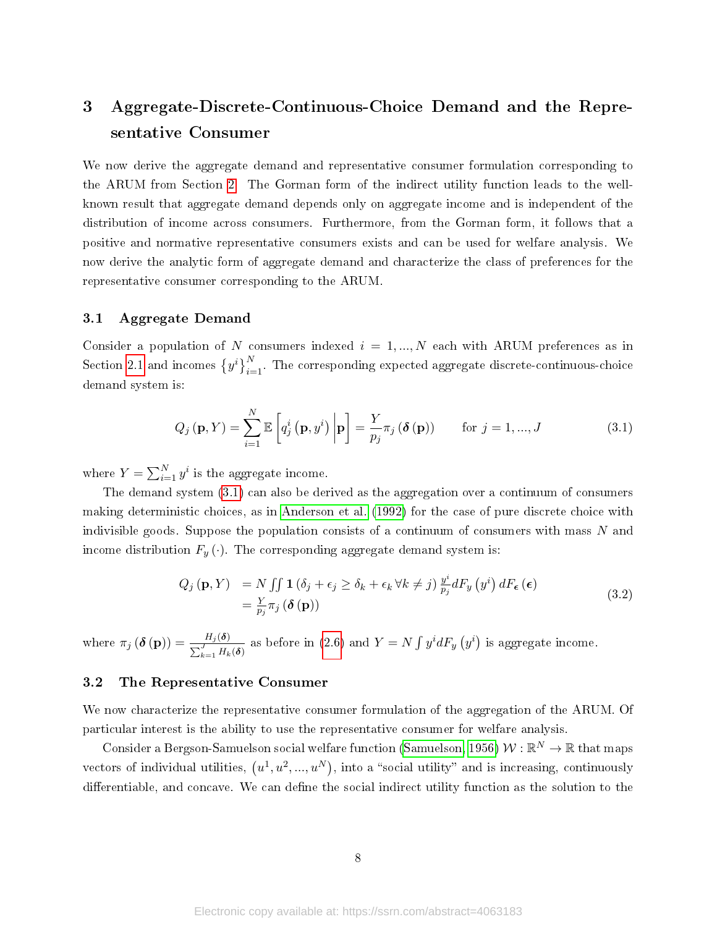# <span id="page-7-0"></span>3 Aggregate-Discrete-Continuous-Choice Demand and the Representative Consumer

We now derive the aggregate demand and representative consumer formulation corresponding to the ARUM from Section [2.](#page-3-0) The Gorman form of the indirect utility function leads to the wellknown result that aggregate demand depends only on aggregate income and is independent of the distribution of income across consumers. Furthermore, from the Gorman form, it follows that a positive and normative representative consumers exists and can be used for welfare analysis. We now derive the analytic form of aggregate demand and characterize the class of preferences for the representative consumer corresponding to the ARUM.

### 3.1 Aggregate Demand

Consider a population of N consumers indexed  $i = 1, ..., N$  each with ARUM preferences as in Section [2.1](#page-3-1) and incomes  $\{y^i\}_{i=1}^N$ . The corresponding expected aggregate discrete-continuous-choice demand system is:

<span id="page-7-1"></span>
$$
Q_j(\mathbf{p}, Y) = \sum_{i=1}^{N} \mathbb{E}\left[q_j^i\left(\mathbf{p}, y^i\right) \bigg| \mathbf{p}\right] = \frac{Y}{p_j} \pi_j\left(\boldsymbol{\delta}\left(\mathbf{p}\right)\right) \quad \text{for } j = 1, ..., J \quad (3.1)
$$

where  $Y = \sum_{i=1}^{N} y^i$  is the aggregate income.

The demand system [\(3.1\)](#page-7-1) can also be derived as the aggregation over a continuum of consumers making deterministic choices, as in [Anderson et al.](#page-16-2) [\(1992\)](#page-16-2) for the case of pure discrete choice with indivisible goods. Suppose the population consists of a continuum of consumers with mass  $N$  and income distribution  $F_y(\cdot)$ . The corresponding aggregate demand system is:

$$
Q_j(\mathbf{p}, Y) = N \iint \mathbf{1} (\delta_j + \epsilon_j \ge \delta_k + \epsilon_k \forall k \ne j) \frac{y^i}{p_j} dF_y(y^i) dF_{\epsilon}(\epsilon)
$$
  
=  $\frac{Y}{p_j} \pi_j (\delta(\mathbf{p}))$  (3.2)

where  $\pi_j\left(\boldsymbol{\delta}\left(\mathbf{p}\right)\right) = \frac{H_j(\boldsymbol{\delta})}{\sum_{k=1}^J H_k(\boldsymbol{\delta})}$ as before in [\(2.6\)](#page-5-0) and  $Y = N \int y^i dF_y(y^i)$  is aggregate income.

## 3.2 The Representative Consumer

We now characterize the representative consumer formulation of the aggregation of the ARUM. Of particular interest is the ability to use the representative consumer for welfare analysis.

Consider a Bergson-Samuelson social welfare function [\(Samuelson, 1956\)](#page-19-12)  $\mathcal{W}:\mathbb{R}^N\to\mathbb{R}$  that maps vectors of individual utilities,  $(u^1, u^2, ..., u^N)$ , into a "social utility" and is increasing, continuously differentiable, and concave. We can define the social indirect utility function as the solution to the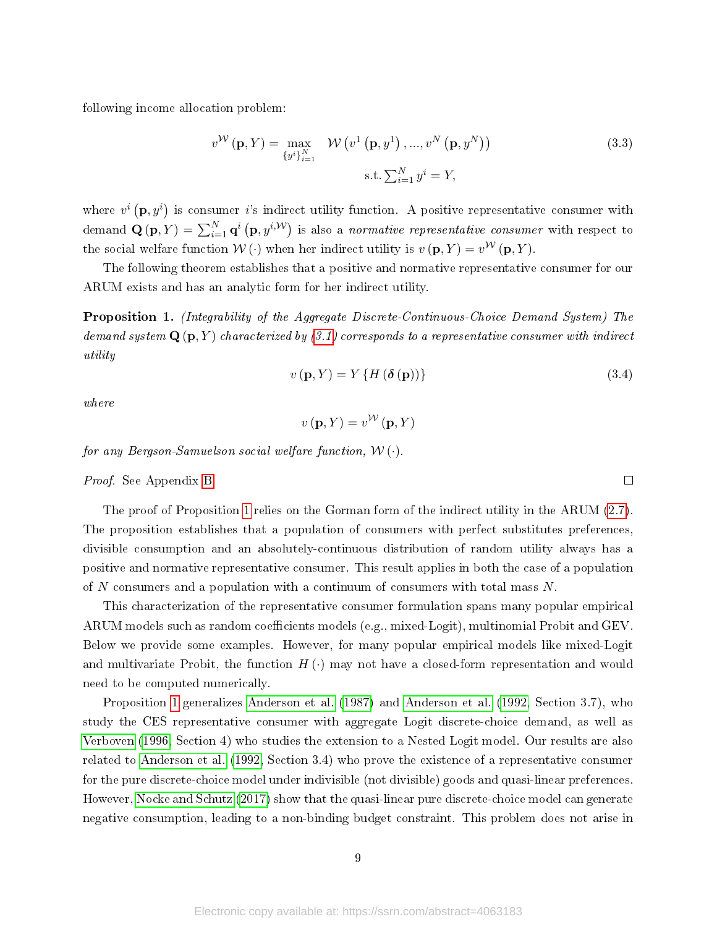following income allocation problem:

$$
v^{\mathcal{W}}(\mathbf{p}, Y) = \max_{\{y^i\}_{i=1}^N} \mathcal{W}\left(v^1\left(\mathbf{p}, y^1\right), ..., v^N\left(\mathbf{p}, y^N\right)\right)
$$
\n
$$
\text{s.t. } \sum_{i=1}^N y^i = Y,
$$
\n(3.3)

where  $v^i(\mathbf{p}, y^i)$  is consumer i's indirect utility function. A positive representative consumer with demand  $\mathbf{Q}(\mathbf{p}, Y) = \sum_{i=1}^{N} \mathbf{q}^i \left( \mathbf{p}, y^{i, \mathcal{W}} \right)$  is also a *normative representative consumer* with respect to the social welfare function  $W(\cdot)$  when her indirect utility is  $v(\mathbf{p}, Y) = v^{\mathcal{W}}(\mathbf{p}, Y)$ .

The following theorem establishes that a positive and normative representative consumer for our ARUM exists and has an analytic form for her indirect utility.

<span id="page-8-0"></span>Proposition 1. (Integrability of the Aggregate Discrete-Continuous-Choice Demand System) The demand system  $\mathbf{Q}(\mathbf{p}, Y)$  characterized by [\(3.1\)](#page-7-1) corresponds to a representative consumer with indirect utility

<span id="page-8-1"></span>
$$
v(\mathbf{p}, Y) = Y\left\{H\left(\mathbf{\delta}\left(\mathbf{p}\right)\right)\right\} \tag{3.4}
$$

 $\Box$ 

where

$$
v(\mathbf{p}, Y) = v^{\mathcal{W}}(\mathbf{p}, Y)
$$

for any Bergson-Samuelson social welfare function,  $W(.)$ .

Proof. See Appendix [B.](#page-25-0)

The proof of Proposition [1](#page-8-0) relies on the Gorman form of the indirect utility in the ARUM [\(2.7\)](#page-6-1). The proposition establishes that a population of consumers with perfect substitutes preferences, divisible consumption and an absolutely-continuous distribution of random utility always has a positive and normative representative consumer. This result applies in both the case of a population of N consumers and a population with a continuum of consumers with total mass  $N$ .

This characterization of the representative consumer formulation spans many popular empirical ARUM models such as random coefficients models (e.g., mixed-Logit), multinomial Probit and GEV. Below we provide some examples. However, for many popular empirical models like mixed-Logit and multivariate Probit, the function  $H(\cdot)$  may not have a closed-form representation and would need to be computed numerically.

Proposition [1](#page-8-0) generalizes [Anderson et al.](#page-16-1) [\(1987\)](#page-16-1) and [Anderson et al.](#page-16-2) [\(1992,](#page-16-2) Section 3.7), who study the CES representative consumer with aggregate Logit discrete-choice demand, as well as [Verboven](#page-19-1) [\(1996,](#page-19-1) Section 4) who studies the extension to a Nested Logit model. Our results are also related to [Anderson et al.](#page-16-2) [\(1992,](#page-16-2) Section 3.4) who prove the existence of a representative consumer for the pure discrete-choice model under indivisible (not divisible) goods and quasi-linear preferences. However, [Nocke and Schutz](#page-19-6) [\(2017\)](#page-19-6) show that the quasi-linear pure discrete-choice model can generate negative consumption, leading to a non-binding budget constraint. This problem does not arise in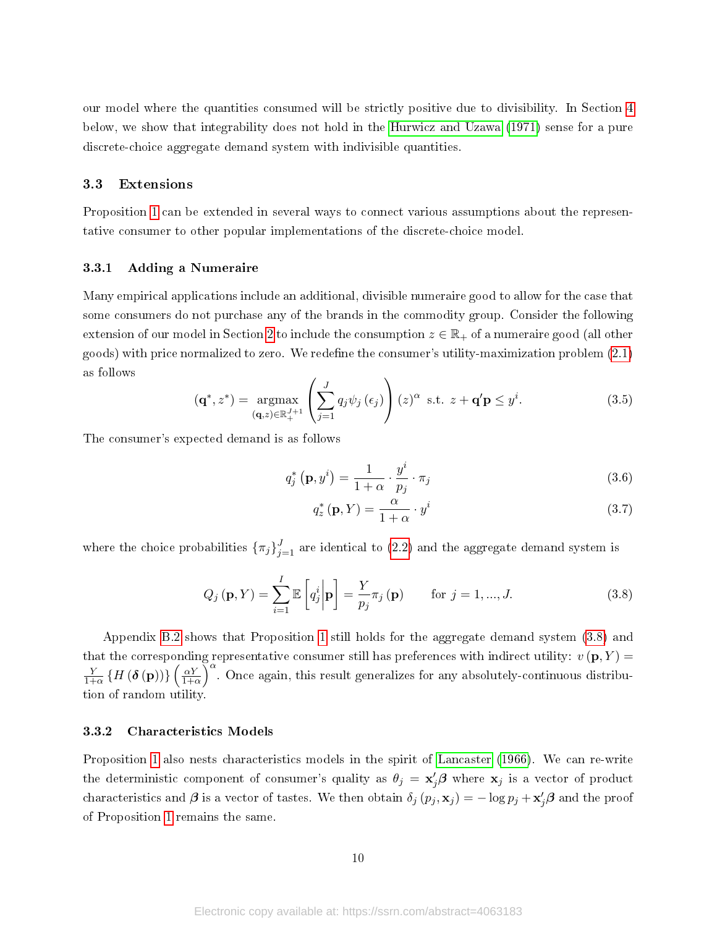our model where the quantities consumed will be strictly positive due to divisibility. In Section [4](#page-13-0) below, we show that integrability does not hold in the [Hurwicz and Uzawa](#page-18-3) [\(1971\)](#page-18-3) sense for a pure discrete-choice aggregate demand system with indivisible quantities.

#### 3.3 Extensions

Proposition [1](#page-8-0) can be extended in several ways to connect various assumptions about the representative consumer to other popular implementations of the discrete-choice model.

#### 3.3.1 Adding a Numeraire

Many empirical applications include an additional, divisible numeraire good to allow for the case that some consumers do not purchase any of the brands in the commodity group. Consider the following extension of our model in Section [2](#page-3-0) to include the consumption  $z \in \mathbb{R}_+$  of a numeraire good (all other goods) with price normalized to zero. We redefine the consumer's utility-maximization problem  $(2.1)$ as follows

$$
(\mathbf{q}^*, z^*) = \underset{(\mathbf{q}, z) \in \mathbb{R}_+^{J+1}}{\operatorname{argmax}} \left( \sum_{j=1}^J q_j \psi_j \left( \epsilon_j \right) \right) (z)^\alpha \text{ s.t. } z + \mathbf{q}' \mathbf{p} \le y^i. \tag{3.5}
$$

The consumer's expected demand is as follows

$$
q_j^* \left( \mathbf{p}, y^i \right) = \frac{1}{1 + \alpha} \cdot \frac{y^i}{p_j} \cdot \pi_j \tag{3.6}
$$

<span id="page-9-0"></span>
$$
q_z^*(\mathbf{p}, Y) = \frac{\alpha}{1 + \alpha} \cdot y^i \tag{3.7}
$$

where the choice probabilities  $\{\pi_j\}_{j=1}^J$  are identical to [\(2.2\)](#page-4-7) and the aggregate demand system is

$$
Q_j(\mathbf{p}, Y) = \sum_{i=1}^{I} \mathbb{E}\left[q_j^i \middle| \mathbf{p}\right] = \frac{Y}{p_j} \pi_j(\mathbf{p}) \quad \text{for } j = 1, ..., J. \tag{3.8}
$$

Appendix [B.2](#page-25-1) shows that Proposition [1](#page-8-0) still holds for the aggregate demand system [\(3.8\)](#page-9-0) and that the corresponding representative consumer still has preferences with indirect utility:  $v(\mathbf{p}, Y) =$ Y  $\frac{Y}{1+\alpha}\left\{ H\left(\boldsymbol{\delta}\left(\mathbf{p}\right)\right)\right\} \left(\frac{\alpha Y}{1+\alpha}\right.$  $\frac{\alpha Y}{1+\alpha}$   $\int_0^{\alpha}$  Once again, this result generalizes for any absolutely-continuous distribution of random utility.

#### 3.3.2 Characteristics Models

Proposition [1](#page-8-0) also nests characteristics models in the spirit of [Lancaster](#page-18-5) [\(1966\)](#page-18-5). We can re-write the deterministic component of consumer's quality as  $\theta_j = \mathbf{x}'_j \boldsymbol{\beta}$  where  $\mathbf{x}_j$  is a vector of product characteristics and  $\beta$  is a vector of tastes. We then obtain  $\delta_j(p_j, \mathbf{x}_j) = -\log p_j + \mathbf{x}'_j \boldsymbol{\beta}$  and the proof of Proposition [1](#page-8-0) remains the same.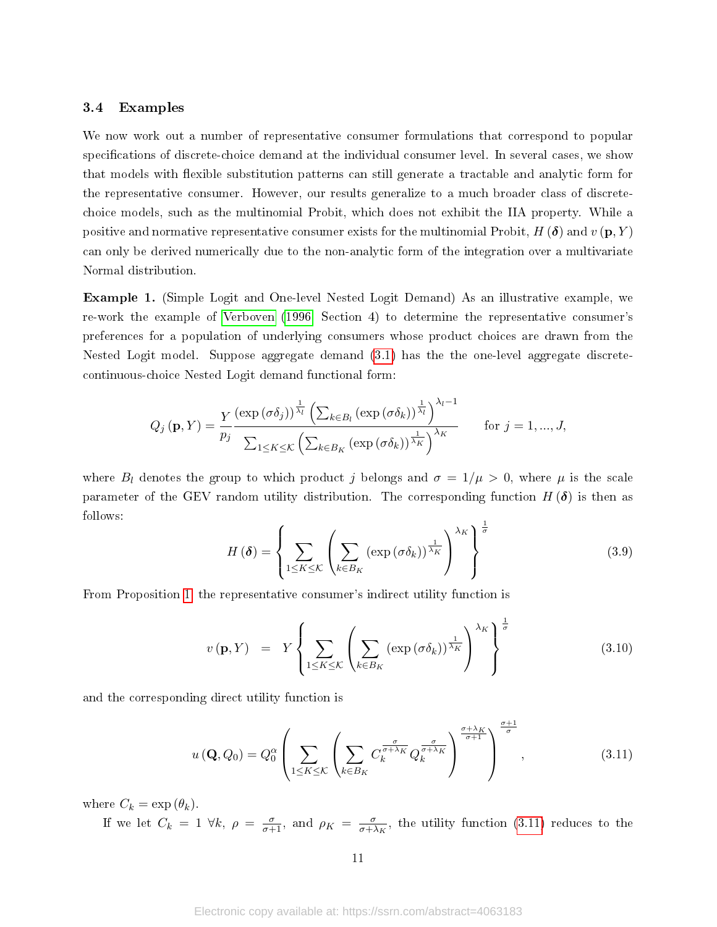### <span id="page-10-0"></span>3.4 Examples

We now work out a number of representative consumer formulations that correspond to popular specifications of discrete-choice demand at the individual consumer level. In several cases, we show that models with flexible substitution patterns can still generate a tractable and analytic form for the representative consumer. However, our results generalize to a much broader class of discretechoice models, such as the multinomial Probit, which does not exhibit the IIA property. While a positive and normative representative consumer exists for the multinomial Probit,  $H(\boldsymbol{\delta})$  and  $v(\mathbf{p}, Y)$ can only be derived numerically due to the non-analytic form of the integration over a multivariate Normal distribution.

Example 1. (Simple Logit and One-level Nested Logit Demand) As an illustrative example, we re-work the example of [Verboven](#page-19-1) [\(1996,](#page-19-1) Section 4) to determine the representative consumer's preferences for a population of underlying consumers whose product choices are drawn from the Nested Logit model. Suppose aggregate demand [\(3.1\)](#page-7-1) has the the one-level aggregate discretecontinuous-choice Nested Logit demand functional form:

$$
Q_j(\mathbf{p}, Y) = \frac{Y}{p_j} \frac{\left(\exp\left(\sigma \delta_j\right)\right)^{\frac{1}{\lambda_l}} \left(\sum_{k \in B_l} \left(\exp\left(\sigma \delta_k\right)\right)^{\frac{1}{\lambda_l}}\right)^{\lambda_l - 1}}{\sum_{1 \leq K \leq K} \left(\sum_{k \in B_K} \left(\exp\left(\sigma \delta_k\right)\right)^{\frac{1}{\lambda_K}}\right)^{\lambda_K}} \quad \text{for } j = 1, ..., J,
$$

where  $B_l$  denotes the group to which product j belongs and  $\sigma = 1/\mu > 0$ , where  $\mu$  is the scale parameter of the GEV random utility distribution. The corresponding function  $H(\delta)$  is then as follows:

$$
H(\boldsymbol{\delta}) = \left\{ \sum_{1 \leq K \leq \mathcal{K}} \left( \sum_{k \in B_K} \left( \exp\left(\sigma \delta_k\right)\right)^{\frac{1}{\lambda_K}} \right)^{\lambda_K} \right\}^{\frac{1}{\sigma}}
$$
(3.9)

From Proposition [1,](#page-8-0) the representative consumer's indirect utility function is

$$
v(\mathbf{p}, Y) = Y \left\{ \sum_{1 \leq K \leq K} \left( \sum_{k \in B_K} (\exp(\sigma \delta_k))^{\frac{1}{\lambda_K}} \right)^{\lambda_K} \right\}^{\frac{1}{\sigma}}
$$
(3.10)

**σ** 

and the corresponding direct utility function is

<span id="page-10-1"></span>
$$
u\left(\mathbf{Q}, Q_0\right) = Q_0^{\alpha} \left( \sum_{1 \leq K \leq K} \left( \sum_{k \in B_K} C_k^{\frac{\sigma}{\sigma + \lambda_K}} Q_k^{\frac{\sigma}{\sigma + \lambda_K}} \right)^{\frac{\sigma + \lambda_K}{\sigma + 1}} \right)^{\frac{\sigma + 1}{\sigma}}, \tag{3.11}
$$

where  $C_k = \exp(\theta_k)$ .

If we let  $C_k = 1 \ \forall k, \ \rho = \frac{\sigma}{\sigma + 1}$ , and  $\rho_K = \frac{\sigma}{\sigma + \lambda}$  $\frac{\sigma}{\sigma + \lambda_K}$ , the utility function [\(3.11\)](#page-10-1) reduces to the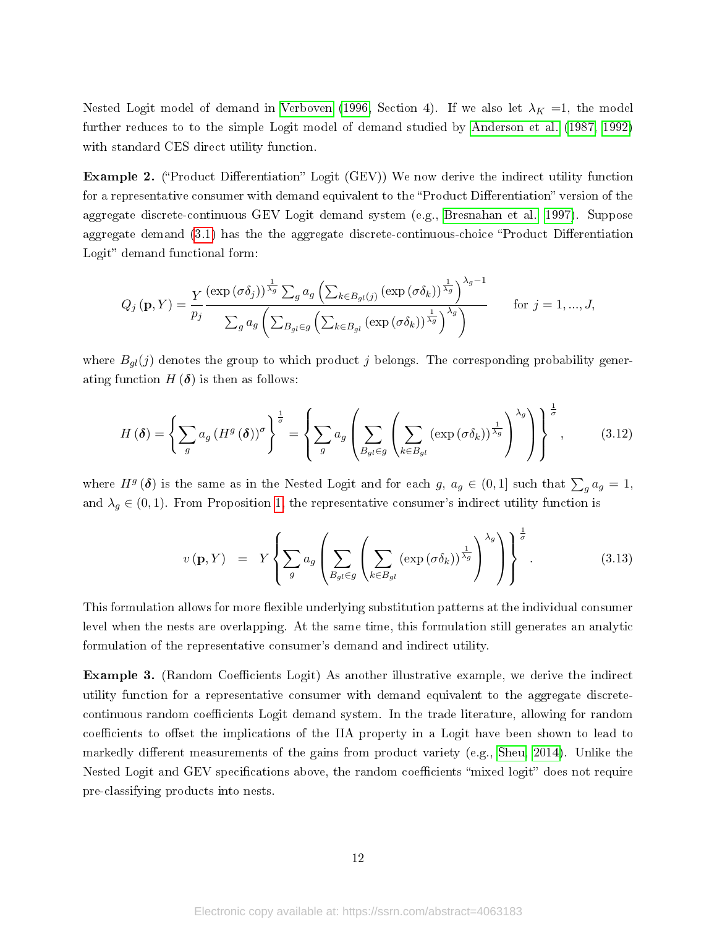Nested Logit model of demand in [Verboven](#page-19-1) [\(1996,](#page-19-1) Section 4). If we also let  $\lambda_K = 1$ , the model further reduces to to the simple Logit model of demand studied by [Anderson et al.](#page-16-1) [\(1987,](#page-16-1) [1992\)](#page-16-2) with standard CES direct utility function.

**Example 2.** ("Product Differentiation" Logit (GEV)) We now derive the indirect utility function for a representative consumer with demand equivalent to the "Product Differentiation" version of the aggregate discrete-continuous GEV Logit demand system (e.g., [Bresnahan et al., 1997\)](#page-16-11). Suppose aggregate demand  $(3.1)$  has the the aggregate discrete-continuous-choice "Product Differentiation Logit" demand functional form:

$$
Q_j(\mathbf{p}, Y) = \frac{Y}{p_j} \frac{\left(\exp\left(\sigma \delta_j\right)\right)^{\frac{1}{\lambda_g}} \sum_g a_g \left(\sum_{k \in B_{gl}(j)} \left(\exp\left(\sigma \delta_k\right)\right)^{\frac{1}{\lambda_g}}\right)^{\lambda_g - 1}}{\sum_g a_g \left(\sum_{B_{gl} \in g} \left(\sum_{k \in B_{gl}} \left(\exp\left(\sigma \delta_k\right)\right)^{\frac{1}{\lambda_g}}\right)^{\lambda_g}\right)}
$$
 for  $j = 1, ..., J$ ,

where  $B_{gl}(j)$  denotes the group to which product j belongs. The corresponding probability generating function  $H(\boldsymbol{\delta})$  is then as follows:

$$
H(\boldsymbol{\delta}) = \left\{ \sum_{g} a_g \left( H^g(\boldsymbol{\delta}) \right)^{\sigma} \right\}^{\frac{1}{\sigma}} = \left\{ \sum_{g} a_g \left( \sum_{B_{gl} \in g} \left( \sum_{k \in B_{gl}} \left( \exp \left( \sigma \delta_k \right) \right)^{\frac{1}{\lambda_g}} \right)^{\lambda_g} \right) \right\}^{\frac{1}{\sigma}},\tag{3.12}
$$

where  $H^g$  ( $\delta$ ) is the same as in the Nested Logit and for each  $g, a_g \in (0,1]$  such that  $\sum_g a_g = 1$ , and  $\lambda_g \in (0,1)$ . From Proposition [1,](#page-8-0) the representative consumer's indirect utility function is

$$
v(\mathbf{p}, Y) = Y \left\{ \sum_{g} a_g \left( \sum_{B_{gl} \in g} \left( \sum_{k \in B_{gl}} (\exp(\sigma \delta_k))^{\frac{1}{\lambda_g}} \right)^{\lambda_g} \right) \right\}^{\frac{1}{\sigma}}.
$$
 (3.13)

This formulation allows for more flexible underlying substitution patterns at the individual consumer level when the nests are overlapping. At the same time, this formulation still generates an analytic formulation of the representative consumer's demand and indirect utility.

**Example 3.** (Random Coefficients Logit) As another illustrative example, we derive the indirect utility function for a representative consumer with demand equivalent to the aggregate discretecontinuous random coefficients Logit demand system. In the trade literature, allowing for random coefficients to offset the implications of the IIA property in a Logit have been shown to lead to markedly different measurements of the gains from product variety (e.g., [Sheu, 2014\)](#page-19-13). Unlike the Nested Logit and GEV specifications above, the random coefficients "mixed logit" does not require pre-classifying products into nests.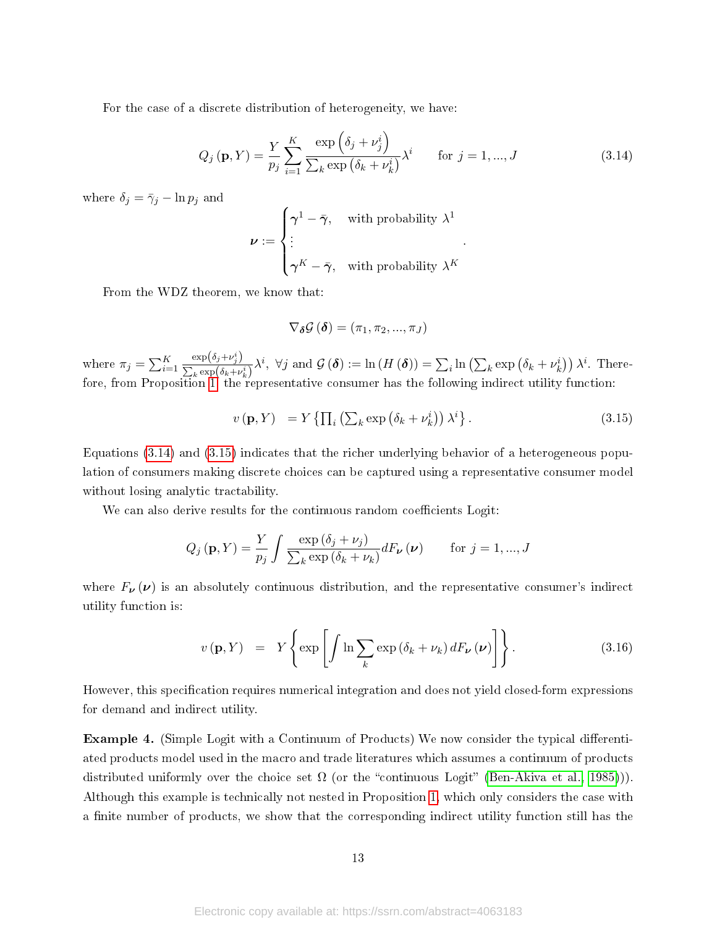For the case of a discrete distribution of heterogeneity, we have:

<span id="page-12-0"></span>
$$
Q_j(\mathbf{p}, Y) = \frac{Y}{p_j} \sum_{i=1}^{K} \frac{\exp\left(\delta_j + \nu_j^i\right)}{\sum_k \exp\left(\delta_k + \nu_k^i\right)} \lambda^i \quad \text{for } j = 1, ..., J \tag{3.14}
$$

where  $\delta_j = \bar{\gamma}_j - \ln p_j$  and

$$
\nu := \begin{cases} \gamma^1 - \bar{\gamma}, & \text{with probability } \lambda^1 \\ \vdots & \\ \gamma^K - \bar{\gamma}, & \text{with probability } \lambda^K \end{cases}.
$$

From the WDZ theorem, we know that:

$$
\nabla_{\boldsymbol{\delta}} \mathcal{G} \left( \boldsymbol{\delta} \right) = \left( \pi_1, \pi_2, ..., \pi_J \right)
$$

where  $\pi_j = \sum_{i=1}^K$  $\exp\left(\delta_j+\nu_j^i\right)$  $\frac{\exp(\delta_j + \nu_j)}{\sum_k \exp(\delta_k + \nu_k^i)} \lambda^i$ ,  $\forall j$  and  $\mathcal{G}(\delta) := \ln(H(\delta)) = \sum_i \ln(\sum_k \exp(\delta_k + \nu_k^i)) \lambda^i$ . Therefore, from Proposition [1,](#page-8-0) the representative consumer has the following indirect utility function:

<span id="page-12-1"></span>
$$
v(\mathbf{p}, Y) = Y \left\{ \prod_{i} \left( \sum_{k} \exp \left( \delta_{k} + \nu_{k}^{i} \right) \right) \lambda^{i} \right\}.
$$
 (3.15)

Equations [\(3.14\)](#page-12-0) and [\(3.15\)](#page-12-1) indicates that the richer underlying behavior of a heterogeneous population of consumers making discrete choices can be captured using a representative consumer model without losing analytic tractability.

We can also derive results for the continuous random coefficients Logit:

$$
Q_j(\mathbf{p}, Y) = \frac{Y}{p_j} \int \frac{\exp\left(\delta_j + \nu_j\right)}{\sum_k \exp\left(\delta_k + \nu_k\right)} dF_{\nu}(\nu) \quad \text{for } j = 1, ..., J
$$

where  $F_{\nu}(\nu)$  is an absolutely continuous distribution, and the representative consumer's indirect utility function is:

$$
v(\mathbf{p}, Y) = Y \left\{ \exp \left[ \int \ln \sum_{k} \exp \left( \delta_{k} + \nu_{k} \right) dF_{\nu} \left( \nu \right) \right] \right\}.
$$
 (3.16)

However, this specification requires numerical integration and does not yield closed-form expressions for demand and indirect utility.

Example 4. (Simple Logit with a Continuum of Products) We now consider the typical differentiated products model used in the macro and trade literatures which assumes a continuum of products distributed uniformly over the choice set  $\Omega$  (or the "continuous Logit" [\(Ben-Akiva et al., 1985\)](#page-16-12))). Although this example is technically not nested in Proposition [1,](#page-8-0) which only considers the case with a finite number of products, we show that the corresponding indirect utility function still has the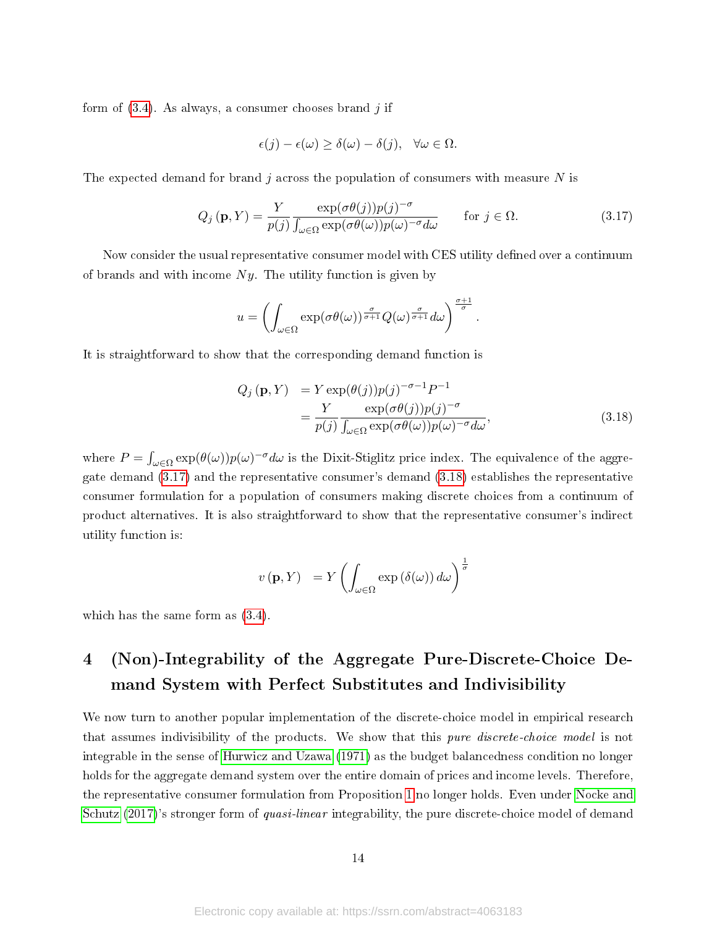form of  $(3.4)$ . As always, a consumer chooses brand j if

$$
\epsilon(j) - \epsilon(\omega) \ge \delta(\omega) - \delta(j), \quad \forall \omega \in \Omega.
$$

The expected demand for brand j across the population of consumers with measure  $N$  is

<span id="page-13-1"></span>
$$
Q_j(\mathbf{p}, Y) = \frac{Y}{p(j)} \frac{\exp(\sigma \theta(j)) p(j)^{-\sigma}}{\int_{\omega \in \Omega} \exp(\sigma \theta(\omega)) p(\omega)^{-\sigma} d\omega} \quad \text{for } j \in \Omega.
$$
 (3.17)

Now consider the usual representative consumer model with CES utility defined over a continuum of brands and with income  $Ny$ . The utility function is given by

$$
u = \left( \int_{\omega \in \Omega} \exp(\sigma \theta(\omega))^{\frac{\sigma}{\sigma+1}} Q(\omega)^{\frac{\sigma}{\sigma+1}} d\omega \right)^{\frac{\sigma+1}{\sigma}}.
$$

It is straightforward to show that the corresponding demand function is

<span id="page-13-2"></span>
$$
Q_j(\mathbf{p}, Y) = Y \exp(\theta(j)) p(j)^{-\sigma - 1} P^{-1}
$$
  
= 
$$
\frac{Y}{p(j)} \frac{\exp(\sigma \theta(j)) p(j)^{-\sigma}}{\int_{\omega \in \Omega} \exp(\sigma \theta(\omega)) p(\omega)^{-\sigma} d\omega},
$$
(3.18)

where  $P = \int_{\omega \in \Omega} \exp(\theta(\omega)) p(\omega)^{-\sigma} d\omega$  is the Dixit-Stiglitz price index. The equivalence of the aggregate demand [\(3.17\)](#page-13-1) and the representative consumer's demand [\(3.18\)](#page-13-2) establishes the representative consumer formulation for a population of consumers making discrete choices from a continuum of product alternatives. It is also straightforward to show that the representative consumer's indirect utility function is:

$$
v(\mathbf{p}, Y) = Y \left( \int_{\omega \in \Omega} \exp (\delta(\omega)) d\omega \right)^{\frac{1}{\sigma}}
$$

which has the same form as [\(3.4\)](#page-8-1).

# <span id="page-13-0"></span>4 (Non)-Integrability of the Aggregate Pure-Discrete-Choice Demand System with Perfect Substitutes and Indivisibility

We now turn to another popular implementation of the discrete-choice model in empirical research that assumes indivisibility of the products. We show that this pure discrete-choice model is not integrable in the sense of [Hurwicz and Uzawa](#page-18-3) [\(1971\)](#page-18-3) as the budget balancedness condition no longer holds for the aggregate demand system over the entire domain of prices and income levels. Therefore, the representative consumer formulation from Proposition [1](#page-8-0) no longer holds. Even under [Nocke and](#page-19-6) [Schutz](#page-19-6) [\(2017\)](#page-19-6)'s stronger form of *quasi-linear* integrability, the pure discrete-choice model of demand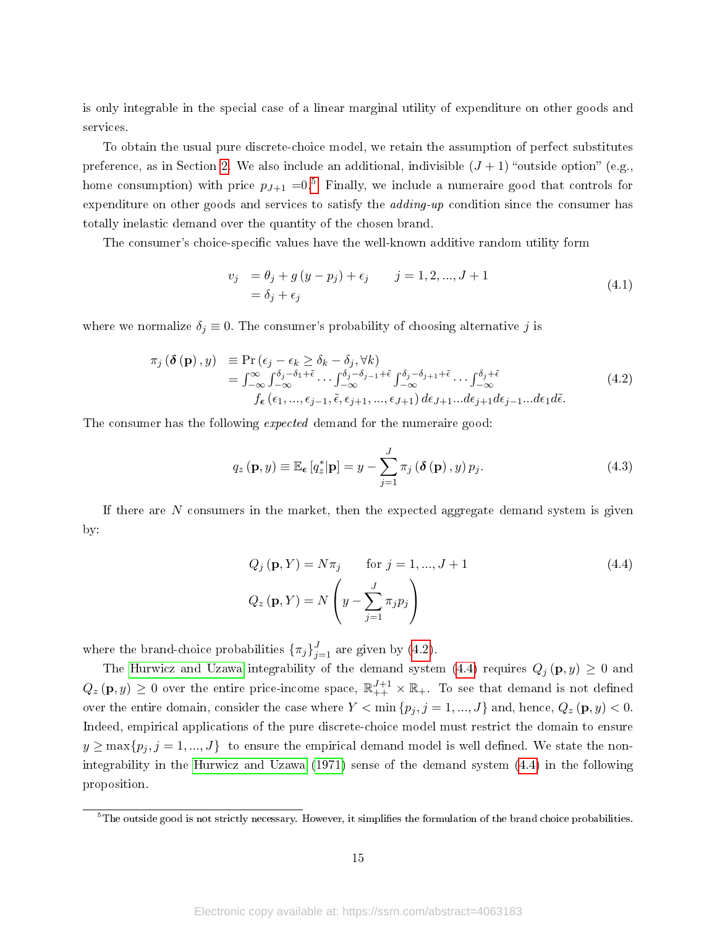is only integrable in the special case of a linear marginal utility of expenditure on other goods and services.

To obtain the usual pure discrete-choice model, we retain the assumption of perfect substitutes preference, as in Section [2.](#page-3-0) We also include an additional, indivisible  $(J + 1)$  "outside option" (e.g., home consumption) with price  $p_{J+1} = 0.5$  $p_{J+1} = 0.5$  Finally, we include a numeraire good that controls for expenditure on other goods and services to satisfy the *adding-up* condition since the consumer has totally inelastic demand over the quantity of the chosen brand.

The consumer's choice-specific values have the well-known additive random utility form

$$
v_j = \theta_j + g (y - p_j) + \epsilon_j \qquad j = 1, 2, ..., J + 1 = \delta_j + \epsilon_j
$$
\n(4.1)

where we normalize  $\delta_j \equiv 0$ . The consumer's probability of choosing alternative j is

<span id="page-14-1"></span>
$$
\pi_j\left(\delta\left(\mathbf{p}\right),y\right) \equiv \Pr\left(\epsilon_j - \epsilon_k \geq \delta_k - \delta_j, \forall k\right) \n= \int_{-\infty}^{\infty} \int_{-\infty}^{\delta_j - \delta_1 + \tilde{\epsilon}} \cdots \int_{-\infty}^{\delta_j - \delta_{j-1} + \tilde{\epsilon}} \int_{-\infty}^{\delta_j - \delta_{j+1} + \tilde{\epsilon}} \cdots \int_{-\infty}^{\delta_j + \tilde{\epsilon}} \cdots \int_{-\infty}^{\delta_j + \tilde{\epsilon}} (4.2) \nf_{\epsilon}\left(\epsilon_1, \ldots, \epsilon_{j-1}, \tilde{\epsilon}, \epsilon_{j+1}, \ldots, \epsilon_{J+1}\right) d\epsilon_{J+1} \ldots d\epsilon_{j+1} d\epsilon_{j-1} \ldots d\epsilon_1 d\tilde{\epsilon}.
$$
\n(4.2)

The consumer has the following *expected* demand for the numeraire good:

$$
q_z(\mathbf{p}, y) \equiv \mathbb{E}_{\epsilon}[q_z^*|\mathbf{p}] = y - \sum_{j=1}^J \pi_j \left(\delta(\mathbf{p}), y\right) p_j.
$$
 (4.3)

If there are  $N$  consumers in the market, then the expected aggregate demand system is given by:

<span id="page-14-2"></span>
$$
Q_j(\mathbf{p}, Y) = N\pi_j \quad \text{for } j = 1, ..., J + 1
$$
  
\n
$$
Q_z(\mathbf{p}, Y) = N\left(y - \sum_{j=1}^J \pi_j p_j\right)
$$
\n(4.4)

where the brand-choice probabilities  $\{\pi_j\}_{j=1}^J$  are given by [\(4.2\)](#page-14-1).

The [Hurwicz and Uzawa](#page-18-3) integrability of the demand system [\(4.4\)](#page-14-2) requires  $Q_i(\mathbf{p}, y) \geq 0$  and  $Q_z(\mathbf{p},y) \geq 0$  over the entire price-income space,  $\mathbb{R}_{++}^{J+1} \times \mathbb{R}_{+-}$  To see that demand is not defined over the entire domain, consider the case where  $Y < \min \{p_j, j = 1, ..., J\}$  and, hence,  $Q_z(p, y) < 0$ . Indeed, empirical applications of the pure discrete-choice model must restrict the domain to ensure  $y \ge \max\{p_j, j = 1, ..., J\}$  to ensure the empirical demand model is well defined. We state the nonintegrability in the [Hurwicz and Uzawa](#page-18-3) [\(1971\)](#page-18-3) sense of the demand system [\(4.4\)](#page-14-2) in the following proposition.

<span id="page-14-0"></span> $5$ The outside good is not strictly necessary. However, it simplifies the formulation of the brand choice probabilities.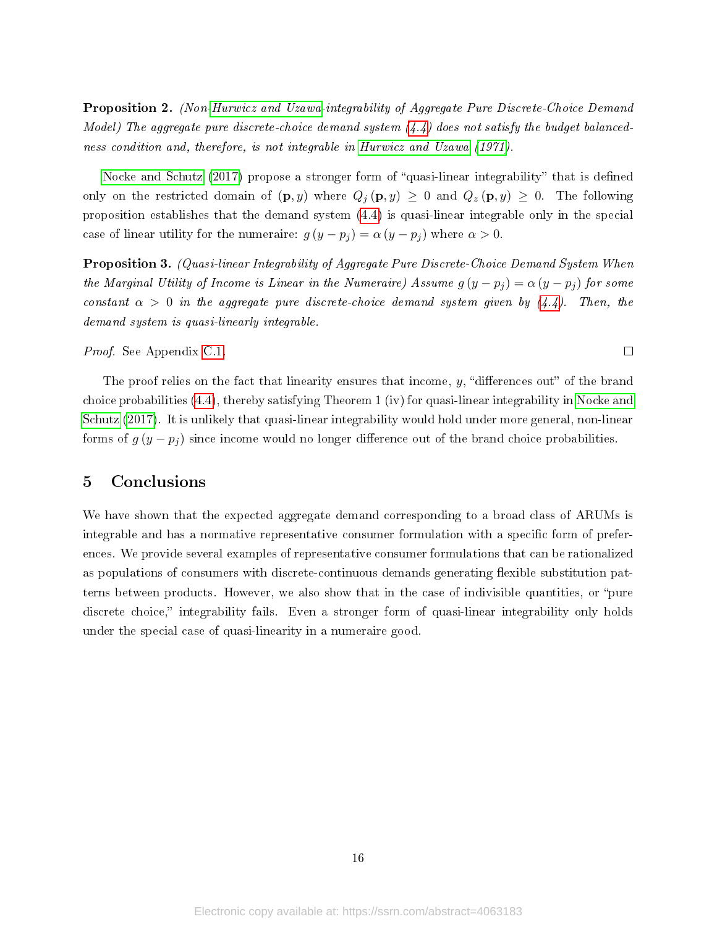Proposition 2. (Non[-Hurwicz and Uzawa-](#page-18-3)integrability of Aggregate Pure Discrete-Choice Demand Model) The aggregate pure discrete-choice demand system  $(4.4)$  does not satisfy the budget balancedness condition and, therefore, is not integrable in [Hurwicz and Uzawa](#page-18-3) [\(1971\)](#page-18-3).

[Nocke and Schutz](#page-19-6) [\(2017\)](#page-19-6) propose a stronger form of "quasi-linear integrability" that is defined only on the restricted domain of  $(\mathbf{p}, y)$  where  $Q_j(\mathbf{p}, y) \geq 0$  and  $Q_z(\mathbf{p}, y) \geq 0$ . The following proposition establishes that the demand system [\(4.4\)](#page-14-2) is quasi-linear integrable only in the special case of linear utility for the numeraire:  $g(y - p_j) = \alpha (y - p_j)$  where  $\alpha > 0$ .

<span id="page-15-1"></span>Proposition 3. (Quasi-linear Integrability of Aggregate Pure Discrete-Choice Demand System When the Marginal Utility of Income is Linear in the Numeraire) Assume  $g(y - p_i) = \alpha (y - p_i)$  for some constant  $\alpha > 0$  in the aggregate pure discrete-choice demand system given by [\(4.4\)](#page-14-2). Then, the demand system is quasi-linearly integrable.

#### Proof. See Appendix [C.1.](#page-26-0)

The proof relies on the fact that linearity ensures that income,  $y$ , "differences out" of the brand choice probabilities [\(4.4\)](#page-14-2), thereby satisfying Theorem 1 (iv) for quasi-linear integrability in [Nocke and](#page-19-6) [Schutz](#page-19-6) [\(2017\)](#page-19-6). It is unlikely that quasi-linear integrability would hold under more general, non-linear forms of  $g(y - p_j)$  since income would no longer difference out of the brand choice probabilities.

 $\Box$ 

## <span id="page-15-0"></span>5 Conclusions

We have shown that the expected aggregate demand corresponding to a broad class of ARUMs is integrable and has a normative representative consumer formulation with a specific form of preferences. We provide several examples of representative consumer formulations that can be rationalized as populations of consumers with discrete-continuous demands generating flexible substitution patterns between products. However, we also show that in the case of indivisible quantities, or "pure discrete choice," integrability fails. Even a stronger form of quasi-linear integrability only holds under the special case of quasi-linearity in a numeraire good.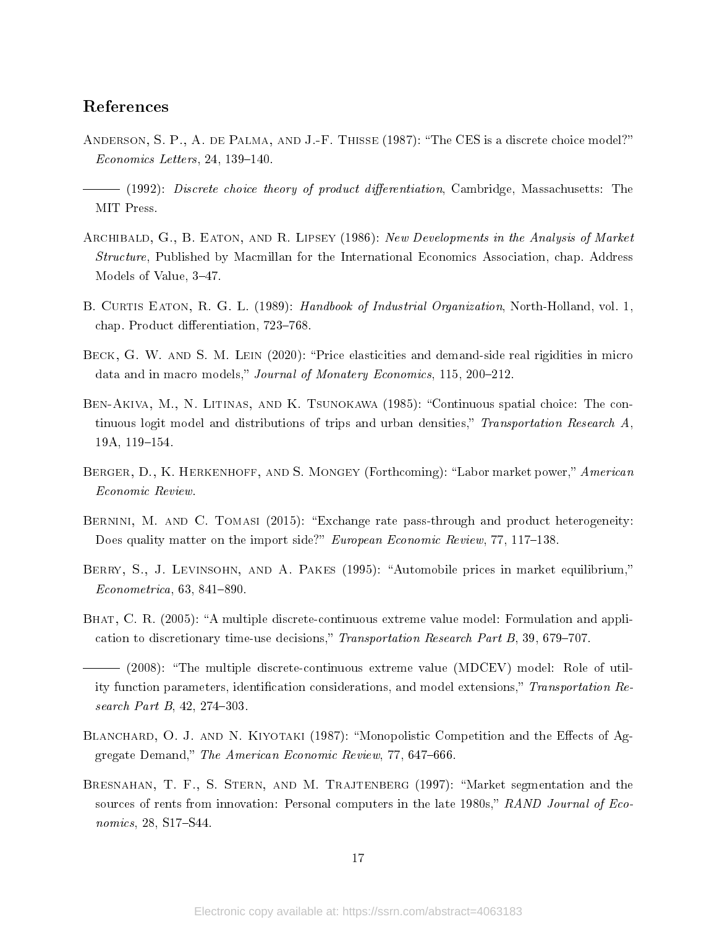## References

- <span id="page-16-1"></span>ANDERSON, S. P., A. DE PALMA, AND J.-F. THISSE (1987): "The CES is a discrete choice model?"  $Economics$  Letters, 24, 139-140.
- <span id="page-16-2"></span> $-$  (1992): Discrete choice theory of product differentiation, Cambridge, Massachusetts: The MIT Press.
- <span id="page-16-0"></span>ARCHIBALD, G., B. EATON, AND R. LIPSEY (1986): New Developments in the Analysis of Market Structure, Published by Macmillan for the International Economics Association, chap. Address Models of Value, 3-47.
- <span id="page-16-3"></span>B. CURTIS EATON, R. G. L. (1989): Handbook of Industrial Organization, North-Holland, vol. 1, chap. Product differentiation, 723-768.
- <span id="page-16-5"></span>BECK, G. W. AND S. M. LEIN (2020): "Price elasticities and demand-side real rigidities in micro data and in macro models," Journal of Monatery Economics, 115, 200-212.
- <span id="page-16-12"></span>Ben-Akiva, M., N. Litinas, and K. Tsunokawa (1985): Continuous spatial choice: The continuous logit model and distributions of trips and urban densities," Transportation Research  $A$ , 19A, 119-154.
- <span id="page-16-7"></span>BERGER, D., K. HERKENHOFF, AND S. MONGEY (Forthcoming): "Labor market power," American Economic Review.
- <span id="page-16-6"></span>BERNINI, M. AND C. TOMASI (2015): "Exchange rate pass-through and product heterogeneity: Does quality matter on the import side?" European Economic Review, 77, 117–138.
- <span id="page-16-8"></span>BERRY, S., J. LEVINSOHN, AND A. PAKES (1995): "Automobile prices in market equilibrium,"  $Econometrica, 63, 841–890.$
- <span id="page-16-9"></span>BHAT, C. R. (2005): "A multiple discrete-continuous extreme value model: Formulation and application to discretionary time-use decisions," Transportation Research Part B,  $39,679-707$ .

- <span id="page-16-4"></span>BLANCHARD, O. J. AND N. KIYOTAKI (1987): "Monopolistic Competition and the Effects of Aggregate Demand," The American Economic Review, 77, 647-666.
- <span id="page-16-11"></span>BRESNAHAN, T. F., S. STERN, AND M. TRAJTENBERG (1997): "Market segmentation and the sources of rents from innovation: Personal computers in the late  $1980s$ ,"  $RAND$  Journal of Economics,  $28$ , S17-S44.

<span id="page-16-10"></span> <sup>(2008):</sup> The multiple discrete-continuous extreme value (MDCEV) model: Role of utility function parameters, identification considerations, and model extensions," Transportation Research Part B,  $42, 274-303$ .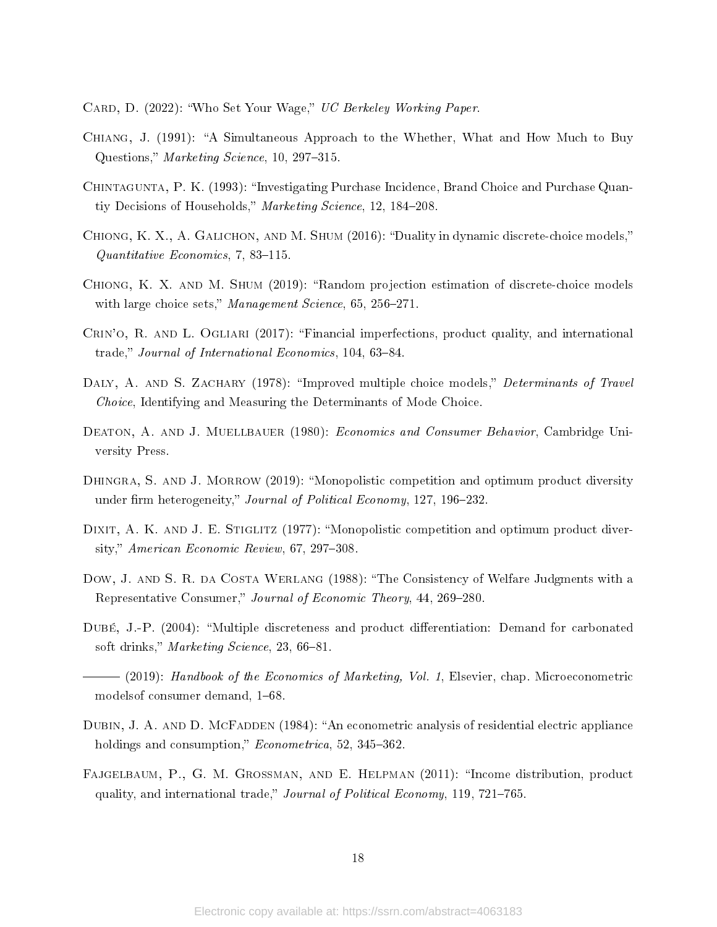<span id="page-17-5"></span>CARD, D. (2022): "Who Set Your Wage," UC Berkeley Working Paper.

- <span id="page-17-10"></span>Chiang, J. (1991): A Simultaneous Approach to the Whether, What and How Much to Buy Questions," Marketing Science,  $10, 297-315$ .
- <span id="page-17-11"></span>CHINTAGUNTA, P. K. (1993): "Investigating Purchase Incidence, Brand Choice and Purchase Quantiy Decisions of Households," Marketing Science, 12, 184–208.
- <span id="page-17-13"></span>CHIONG, K. X., A. GALICHON, AND M. SHUM (2016): "Duality in dynamic discrete-choice models,"  $Quantitative\ Economics, 7, 83-115.$
- <span id="page-17-14"></span>CHIONG, K. X. AND M. SHUM (2019): "Random projection estimation of discrete-choice models with large choice sets," Management Science,  $65, 256-271$ .
- <span id="page-17-4"></span>CRIN'O, R. AND L. OGLIARI (2017): "Financial imperfections, product quality, and international trade," Journal of International Economics, 104, 63-84.
- <span id="page-17-12"></span>DALY, A. AND S. ZACHARY (1978): "Improved multiple choice models," Determinants of Travel Choice, Identifying and Measuring the Determinants of Mode Choice.
- <span id="page-17-6"></span>DEATON, A. AND J. MUELLBAUER (1980): *Economics and Consumer Behavior*, Cambridge University Press.
- <span id="page-17-2"></span>DHINGRA, S. AND J. MORROW (2019): "Monopolistic competition and optimum product diversity under firm heterogeneity," Journal of Political Economy, 127, 196-232.
- <span id="page-17-0"></span>DIXIT, A. K. AND J. E. STIGLITZ (1977): "Monopolistic competition and optimum product diversity," American Economic Review,  $67, 297-308$ .
- <span id="page-17-1"></span>Dow, J. AND S. R. DA COSTA WERLANG (1988): "The Consistency of Welfare Judgments with a Representative Consumer," Journal of Economic Theory, 44, 269-280.
- <span id="page-17-8"></span>DUBÉ, J.-P. (2004): "Multiple discreteness and product differentiation: Demand for carbonated soft drinks," Marketing Science,  $23,66-81$ .
- <span id="page-17-7"></span> (2019): Handbook of the Economics of Marketing, Vol. 1, Elsevier, chap. Microeconometric models of consumer demand,  $1-68$ .
- <span id="page-17-9"></span>DUBIN, J. A. AND D. MCFADDEN (1984): "An econometric analysis of residential electric appliance holdings and consumption,"  $Econometrica$ , 52, 345-362.
- <span id="page-17-3"></span>FAJGELBAUM, P., G. M. GROSSMAN, AND E. HELPMAN (2011): "Income distribution, product quality, and international trade," *Journal of Political Economy*, 119, 721–765.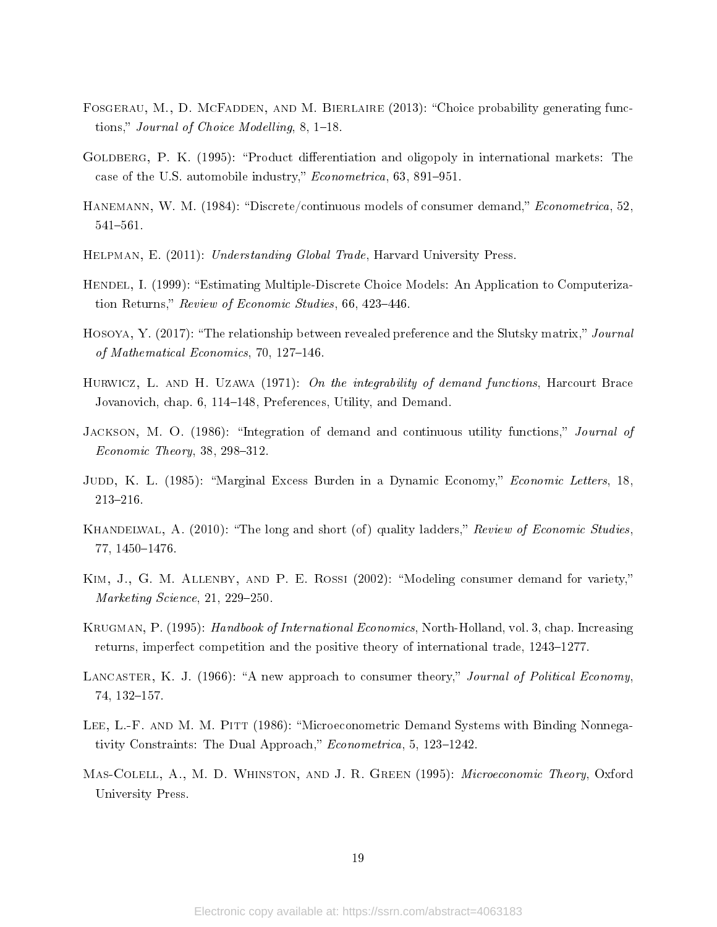- <span id="page-18-12"></span>FOSGERAU, M., D. MCFADDEN, AND M. BIERLAIRE (2013): "Choice probability generating functions," Journal of Choice Modelling,  $8, 1-18$ .
- <span id="page-18-6"></span>GOLDBERG, P. K. (1995): "Product differentiation and oligopoly in international markets: The case of the U.S. automobile industry,"  $Econometrica$ , 63, 891-951.
- <span id="page-18-4"></span>HANEMANN, W. M. (1984): "Discrete/continuous models of consumer demand," *Econometrica*, 52, 541-561.
- <span id="page-18-10"></span>Helpman, E. (2011): Understanding Global Trade, Harvard University Press.
- <span id="page-18-8"></span>HENDEL, I. (1999): "Estimating Multiple-Discrete Choice Models: An Application to Computerization Returns," Review of Economic Studies, 66, 423-446.
- <span id="page-18-11"></span>HOSOYA, Y. (2017): "The relationship between revealed preference and the Slutsky matrix," Journal of Mathematical Economics, 70, 127-146.
- <span id="page-18-3"></span>HURWICZ, L. AND H. UZAWA  $(1971)$ : On the integrability of demand functions, Harcourt Brace Jovanovich, chap. 6, 114–148, Preferences, Utility, and Demand.
- <span id="page-18-14"></span>JACKSON, M. O. (1986): "Integration of demand and continuous utility functions," Journal of  $Economic Theory, 38, 298-312.$
- <span id="page-18-0"></span>JUDD, K. L. (1985): "Marginal Excess Burden in a Dynamic Economy," *Economic Letters*, 18, 213-216.
- <span id="page-18-2"></span>KHANDELWAL, A. (2010): "The long and short (of) quality ladders," Review of Economic Studies. 77, 1450-1476.
- <span id="page-18-9"></span>KIM, J., G. M. ALLENBY, AND P. E. ROSSI (2002): "Modeling consumer demand for variety," Marketing Science,  $21, 229-250$ .
- <span id="page-18-1"></span>KRUGMAN, P. (1995): Handbook of International Economics, North-Holland, vol. 3, chap. Increasing returns, imperfect competition and the positive theory of international trade, 1243–1277.
- <span id="page-18-5"></span>LANCASTER, K. J. (1966): "A new approach to consumer theory," Journal of Political Economy. 74, 132-157.
- <span id="page-18-7"></span>LEE, L.-F. AND M. M. PITT (1986): "Microeconometric Demand Systems with Binding Nonnegativity Constraints: The Dual Approach,"  $Econometrica$ , 5, 123-1242.
- <span id="page-18-13"></span>Mas-Colell, A., M. D. Whinston, and J. R. Green (1995): Microeconomic Theory, Oxford University Press.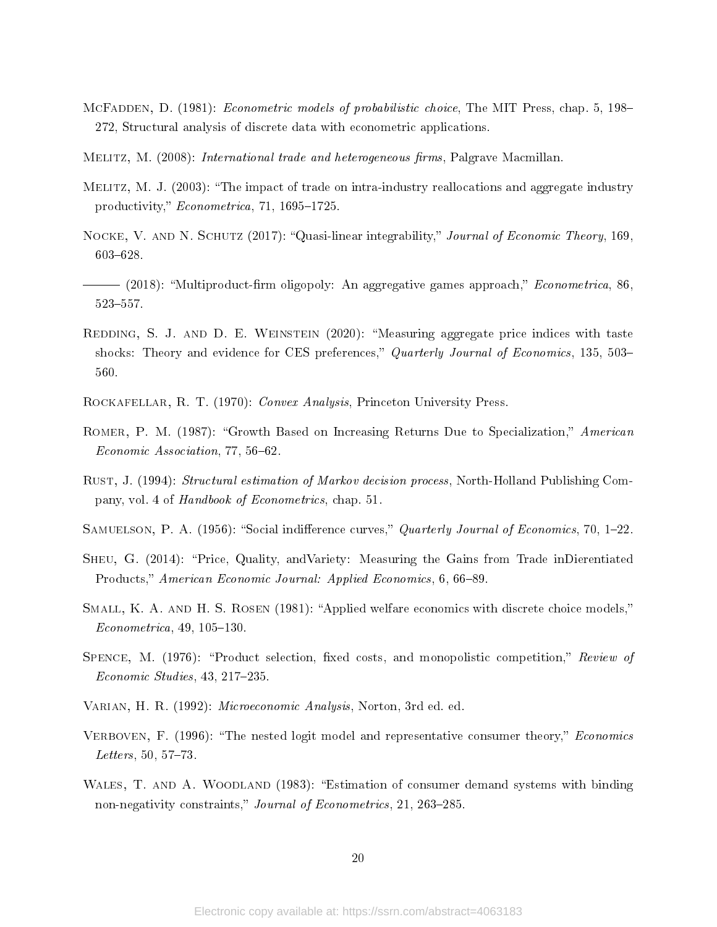- <span id="page-19-9"></span>MCFADDEN, D. (1981): *Econometric models of probabilistic choice*, The MIT Press, chap. 5, 198– 272, Structural analysis of discrete data with econometric applications.
- <span id="page-19-4"></span>MELITZ, M. (2008): *International trade and heterogeneous firms*, Palgrave Macmillan.
- <span id="page-19-3"></span>Melitz, M. J. (2003): The impact of trade on intra-industry reallocations and aggregate industry productivity,"  $Econometrica$ , 71, 1695–1725.
- <span id="page-19-6"></span>NOCKE, V. AND N. SCHUTZ (2017): "Quasi-linear integrability," Journal of Economic Theory, 169. 603-628.
- <span id="page-19-8"></span> $-$  (2018): "Multiproduct-firm oligopoly: An aggregative games approach," *Econometrica*, 86. 523-557.
- <span id="page-19-5"></span>REDDING, S. J. AND D. E. WEINSTEIN (2020): "Measuring aggregate price indices with taste shocks: Theory and evidence for CES preferences," Quarterly Journal of Economics, 135, 503-560.
- <span id="page-19-14"></span>Rockafellar, R. T. (1970): Convex Analysis, Princeton University Press.
- <span id="page-19-2"></span>ROMER, P. M. (1987): "Growth Based on Increasing Returns Due to Specialization," American  $Economic Association, 77, 56–62.$
- <span id="page-19-11"></span>Rust, J. (1994): Structural estimation of Markov decision process, North-Holland Publishing Company, vol. 4 of Handbook of Econometrics, chap. 51.
- <span id="page-19-12"></span>SAMUELSON, P. A. (1956): "Social indifference curves," Quarterly Journal of Economics, 70, 1–22.
- <span id="page-19-13"></span>Sheu, G. (2014): Price, Quality, andVariety: Measuring the Gains from Trade inDierentiated Products," American Economic Journal: Applied Economics, 6, 66-89.
- <span id="page-19-10"></span>SMALL, K. A. AND H. S. ROSEN (1981): "Applied welfare economics with discrete choice models,"  $Econometrica, 49, 105-130.$
- <span id="page-19-0"></span>SPENCE, M.  $(1976)$ : "Product selection, fixed costs, and monopolistic competition," Review of  $Economic Studies, 43, 217–235.$
- <span id="page-19-15"></span>Varian, H. R. (1992): Microeconomic Analysis, Norton, 3rd ed. ed.
- <span id="page-19-1"></span>VERBOVEN, F. (1996): "The nested logit model and representative consumer theory," Economics  $Leters, 50, 57-73.$
- <span id="page-19-7"></span>WALES, T. AND A. WOODLAND (1983): "Estimation of consumer demand systems with binding non-negativity constraints," Journal of Econometrics, 21, 263-285.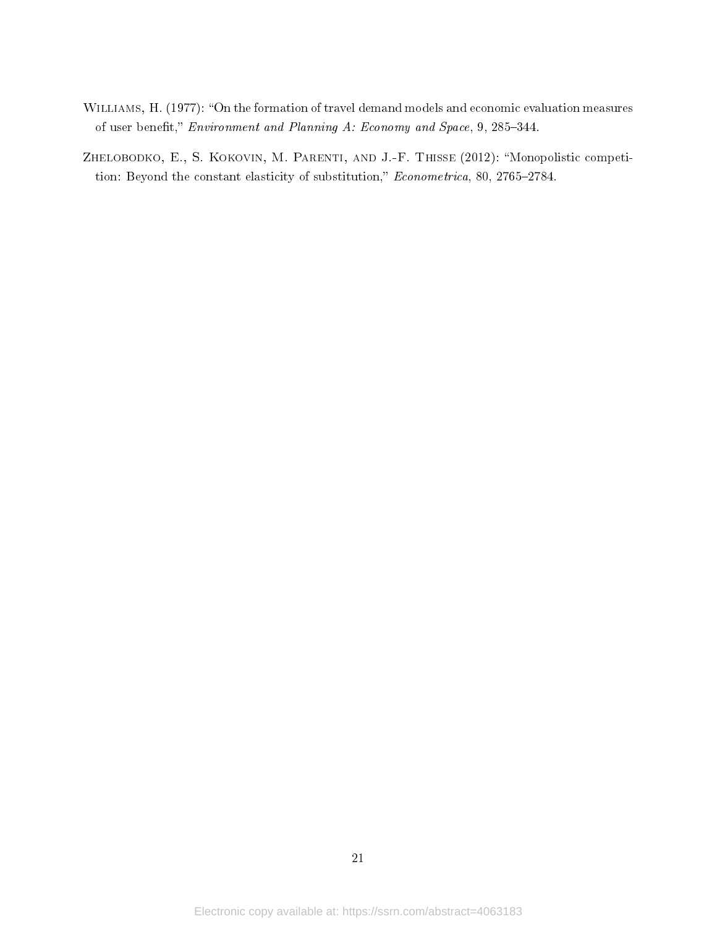- <span id="page-20-1"></span>WILLIAMS, H. (1977): "On the formation of travel demand models and economic evaluation measures of user benefit," *Environment and Planning A: Economy and Space*, 9, 285-344.
- <span id="page-20-0"></span>ZHELOBODKO, E., S. KOKOVIN, M. PARENTI, AND J.-F. THISSE (2012): "Monopolistic competition: Beyond the constant elasticity of substitution,"  $Econometrica$ , 80, 2765-2784.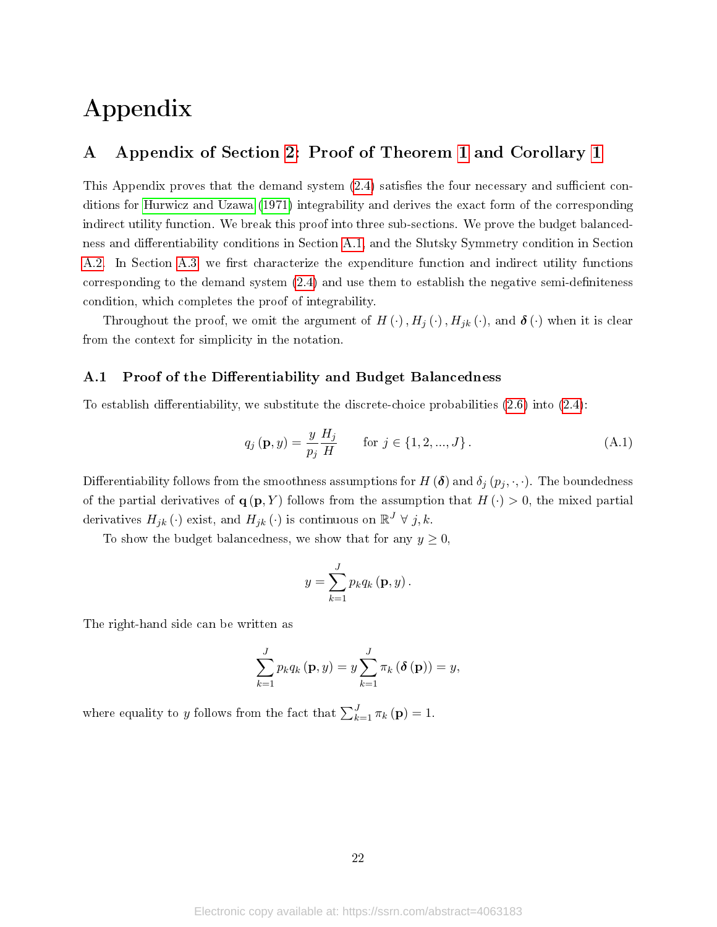# Appendix

# <span id="page-21-0"></span>A Appendix of Section [2:](#page-3-0) Proof of Theorem [1](#page-5-1) and Corollary [1](#page-6-0)

This Appendix proves that the demand system  $(2.4)$  satisfies the four necessary and sufficient conditions for [Hurwicz and Uzawa](#page-18-3) [\(1971\)](#page-18-3) integrability and derives the exact form of the corresponding indirect utility function. We break this proof into three sub-sections. We prove the budget balanced-ness and differentiability conditions in Section [A.1,](#page-21-1) and the Slutsky Symmetry condition in Section [A.2.](#page-22-0) In Section [A.3,](#page-23-0) we first characterize the expenditure function and indirect utility functions corresponding to the demand system  $(2.4)$  and use them to establish the negative semi-definiteness condition, which completes the proof of integrability.

Throughout the proof, we omit the argument of  $H(\cdot)$ ,  $H_j(\cdot)$ ,  $H_{jk}(\cdot)$ , and  $\boldsymbol{\delta}(\cdot)$  when it is clear from the context for simplicity in the notation.

## <span id="page-21-1"></span>A.1 Proof of the Differentiability and Budget Balancedness

To establish differentiability, we substitute the discrete-choice probabilities  $(2.6)$  into  $(2.4)$ :

$$
q_j(\mathbf{p}, y) = \frac{y}{p_j} \frac{H_j}{H} \quad \text{for } j \in \{1, 2, ..., J\}.
$$
 (A.1)

Differentiability follows from the smoothness assumptions for  $H(\delta)$  and  $\delta_j(p_j, \cdot, \cdot)$ . The boundedness of the partial derivatives of  $\mathbf{q}(\mathbf{p}, Y)$  follows from the assumption that  $H(\cdot) > 0$ , the mixed partial derivatives  $H_{jk}(\cdot)$  exist, and  $H_{jk}(\cdot)$  is continuous on  $\mathbb{R}^J \forall j, k$ .

To show the budget balancedness, we show that for any  $y \geq 0$ ,

$$
y = \sum_{k=1}^{J} p_k q_k (\mathbf{p}, y).
$$

The right-hand side can be written as

$$
\sum_{k=1}^{J} p_k q_k (\mathbf{p}, y) = y \sum_{k=1}^{J} \pi_k (\delta(\mathbf{p})) = y,
$$

where equality to y follows from the fact that  $\sum_{k=1}^{J} \pi_k(\mathbf{p}) = 1$ .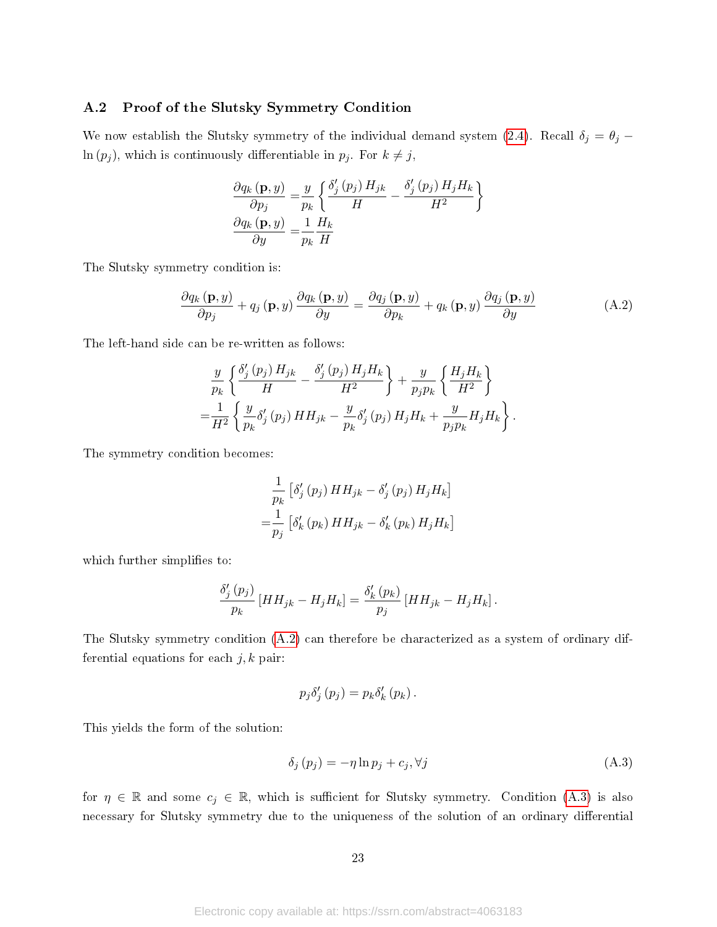### <span id="page-22-0"></span>A.2 Proof of the Slutsky Symmetry Condition

We now establish the Slutsky symmetry of the individual demand system [\(2.4\)](#page-4-6). Recall  $\delta_j = \theta_j \ln (p_j)$ , which is continuously differentiable in  $p_j$ . For  $k \neq j$ ,

<span id="page-22-1"></span>
$$
\frac{\partial q_k(\mathbf{p}, y)}{\partial p_j} = \frac{y}{p_k} \left\{ \frac{\delta'_j(p_j) H_{jk}}{H} - \frac{\delta'_j(p_j) H_j H_k}{H^2} \right\}
$$

$$
\frac{\partial q_k(\mathbf{p}, y)}{\partial y} = \frac{1}{p_k} \frac{H_k}{H}
$$

The Slutsky symmetry condition is:

$$
\frac{\partial q_{k}(\mathbf{p}, y)}{\partial p_{j}} + q_{j}(\mathbf{p}, y) \frac{\partial q_{k}(\mathbf{p}, y)}{\partial y} = \frac{\partial q_{j}(\mathbf{p}, y)}{\partial p_{k}} + q_{k}(\mathbf{p}, y) \frac{\partial q_{j}(\mathbf{p}, y)}{\partial y}
$$
(A.2)

The left-hand side can be re-written as follows:

$$
\frac{y}{p_k} \left\{ \frac{\delta'_j(p_j) H_{jk}}{H} - \frac{\delta'_j(p_j) H_j H_k}{H^2} \right\} + \frac{y}{p_j p_k} \left\{ \frac{H_j H_k}{H^2} \right\}
$$
  
= 
$$
\frac{1}{H^2} \left\{ \frac{y}{p_k} \delta'_j(p_j) H H_{jk} - \frac{y}{p_k} \delta'_j(p_j) H_j H_k + \frac{y}{p_j p_k} H_j H_k \right\}.
$$

The symmetry condition becomes:

$$
\frac{1}{p_k} \left[ \delta_j' \left( p_j \right) H H_{jk} - \delta_j' \left( p_j \right) H_j H_k \right]
$$

$$
= \frac{1}{p_j} \left[ \delta_k' \left( p_k \right) H H_{jk} - \delta_k' \left( p_k \right) H_j H_k \right]
$$

which further simplifies to:

$$
\frac{\delta'_{j}(p_{j})}{p_{k}}\left[HH_{jk}-H_{j}H_{k}\right]=\frac{\delta'_{k}(p_{k})}{p_{j}}\left[HH_{jk}-H_{j}H_{k}\right].
$$

The Slutsky symmetry condition [\(A.2\)](#page-22-1) can therefore be characterized as a system of ordinary differential equations for each  $j, k$  pair:

<span id="page-22-2"></span>
$$
p_j \delta'_j (p_j) = p_k \delta'_k (p_k).
$$

This yields the form of the solution:

$$
\delta_j \left( p_j \right) = -\eta \ln p_j + c_j, \forall j \tag{A.3}
$$

for  $\eta \in \mathbb{R}$  and some  $c_j \in \mathbb{R}$ , which is sufficient for Slutsky symmetry. Condition [\(A.3\)](#page-22-2) is also necessary for Slutsky symmetry due to the uniqueness of the solution of an ordinary differential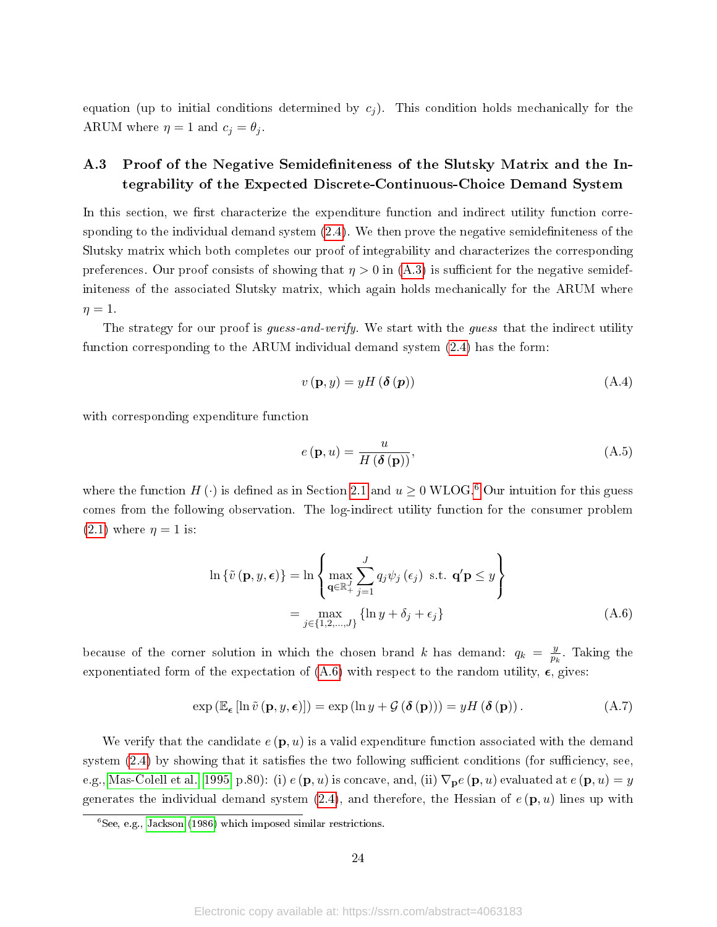equation (up to initial conditions determined by  $c_j$ ). This condition holds mechanically for the ARUM where  $\eta = 1$  and  $c_j = \theta_j$ .

# <span id="page-23-0"></span>A.3 Proof of the Negative Semidefiniteness of the Slutsky Matrix and the Integrability of the Expected Discrete-Continuous-Choice Demand System

In this section, we first characterize the expenditure function and indirect utility function corresponding to the individual demand system  $(2.4)$ . We then prove the negative semidefiniteness of the Slutsky matrix which both completes our proof of integrability and characterizes the corresponding preferences. Our proof consists of showing that  $\eta > 0$  in [\(A.3\)](#page-22-2) is sufficient for the negative semidefiniteness of the associated Slutsky matrix, which again holds mechanically for the ARUM where  $\eta=1.$ 

The strategy for our proof is *guess-and-verify*. We start with the *guess* that the indirect utility function corresponding to the ARUM individual demand system [\(2.4\)](#page-4-6) has the form:

$$
v(\mathbf{p}, y) = yH(\delta(\mathbf{p})) \tag{A.4}
$$

with corresponding expenditure function

<span id="page-23-3"></span><span id="page-23-2"></span>
$$
e(\mathbf{p},u) = \frac{u}{H(\delta(\mathbf{p}))},\tag{A.5}
$$

where the function  $H(\cdot)$  is defined as in Section [2.1](#page-3-1) and  $u \ge 0$  WLOG.<sup>[6](#page-23-1)</sup> Our intuition for this guess comes from the following observation. The log-indirect utility function for the consumer problem  $(2.1)$  where  $\eta = 1$  is:

$$
\ln \{\tilde{v}(\mathbf{p}, y, \epsilon)\} = \ln \left\{ \max_{\mathbf{q} \in \mathbb{R}_+^J} \sum_{j=1}^J q_j \psi_j(\epsilon_j) \text{ s.t. } \mathbf{q}' \mathbf{p} \le y \right\}
$$

$$
= \max_{j \in \{1, 2, ..., J\}} \{\ln y + \delta_j + \epsilon_j\}
$$
(A.6)

because of the corner solution in which the chosen brand k has demand:  $q_k = \frac{y}{n_k}$  $\frac{y}{p_k}$ . Taking the exponentiated form of the expectation of  $(A.6)$  with respect to the random utility,  $\epsilon$ , gives:

$$
\exp\left(\mathbb{E}_{\epsilon}\left[\ln \tilde{v}\left(\mathbf{p}, y, \epsilon\right)\right]\right) = \exp\left(\ln y + \mathcal{G}\left(\delta\left(\mathbf{p}\right)\right)\right) = yH\left(\delta\left(\mathbf{p}\right)\right). \tag{A.7}
$$

We verify that the candidate  $e(\mathbf{p}, u)$  is a valid expenditure function associated with the demand system  $(2.4)$  by showing that it satisfies the two following sufficient conditions (for sufficiency, see, e.g., [Mas-Colell et al., 1995,](#page-18-13) p.80): (i)  $e(\mathbf{p}, u)$  is concave, and, (ii)  $\nabla_{\mathbf{p}} e(\mathbf{p}, u)$  evaluated at  $e(\mathbf{p}, u) = y$ generates the individual demand system  $(2.4)$ , and therefore, the Hessian of  $e(\mathbf{p}, u)$  lines up with

<span id="page-23-1"></span> $6$ See, e.g., [Jackson](#page-18-14) [\(1986\)](#page-18-14) which imposed similar restrictions.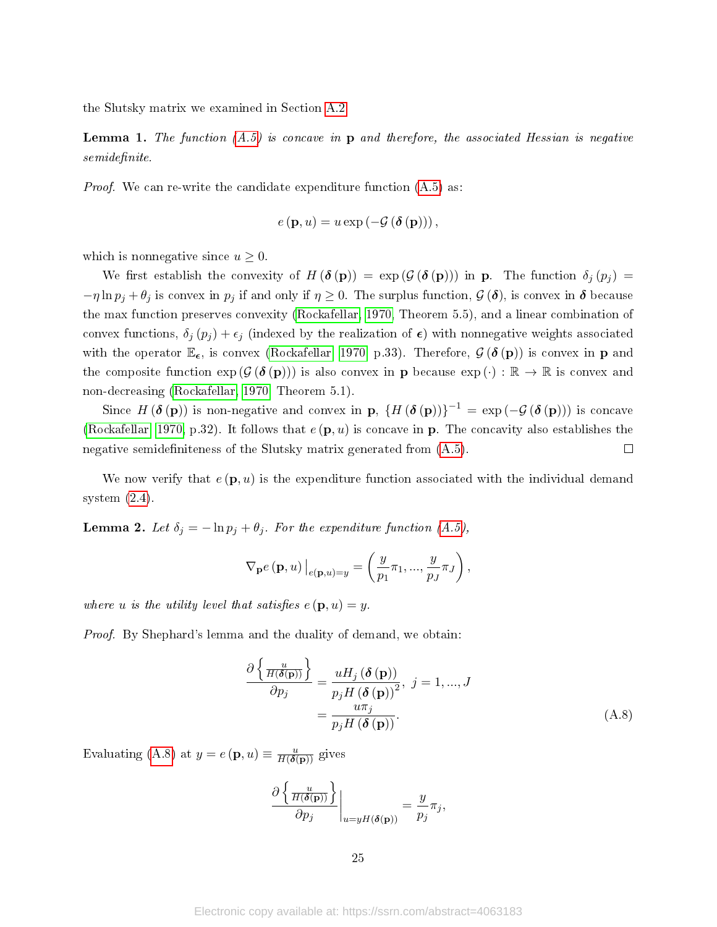the Slutsky matrix we examined in Section [A.2.](#page-22-0)

**Lemma 1.** The function  $(A.5)$  is concave in p and therefore, the associated Hessian is negative  $semidefinite.$ 

*Proof.* We can re-write the candidate expenditure function  $(A.5)$  as:

$$
e(\mathbf{p},u) = u \exp\left(-\mathcal{G}\left(\boldsymbol{\delta}\left(\mathbf{p}\right)\right)\right),\,
$$

which is nonnegative since  $u \geq 0$ .

We first establish the convexity of  $H(\boldsymbol{\delta}(\mathbf{p})) = \exp(\mathcal{G}(\boldsymbol{\delta}(\mathbf{p})))$  in **p**. The function  $\delta_j(p_j) =$  $-\eta \ln p_j + \theta_j$  is convex in  $p_j$  if and only if  $\eta \geq 0$ . The surplus function,  $\mathcal{G}(\delta)$ , is convex in  $\delta$  because the max function preserves convexity [\(Rockafellar, 1970,](#page-19-14) Theorem 5.5), and a linear combination of convex functions,  $\delta_j(p_j) + \epsilon_j$  (indexed by the realization of  $\epsilon$ ) with nonnegative weights associated with the operator  $\mathbb{E}_{\epsilon}$ , is convex [\(Rockafellar, 1970,](#page-19-14) p.33). Therefore,  $\mathcal{G}(\delta(\mathbf{p}))$  is convex in **p** and the composite function  $\exp(\mathcal{G}(\delta(\mathbf{p})))$  is also convex in **p** because  $\exp(\cdot): \mathbb{R} \to \mathbb{R}$  is convex and non-decreasing [\(Rockafellar, 1970,](#page-19-14) Theorem 5.1).

Since  $H(\boldsymbol{\delta}(\mathbf{p}))$  is non-negative and convex in  $\mathbf{p},\{H(\boldsymbol{\delta}(\mathbf{p}))\}^{-1} = \exp(-\mathcal{G}(\boldsymbol{\delta}(\mathbf{p})))$  is concave [\(Rockafellar, 1970,](#page-19-14) p.32). It follows that  $e(\mathbf{p}, u)$  is concave in p. The concavity also establishes the negative semidefiniteness of the Slutsky matrix generated from  $(A.5)$ .  $\Box$ 

We now verify that  $e(\mathbf{p}, u)$  is the expenditure function associated with the individual demand system  $(2.4)$ .

**Lemma 2.** Let  $\delta_j = -\ln p_j + \theta_j$ . For the expenditure function  $(A.5)$ ,

$$
\nabla_{\mathbf{p}} e(\mathbf{p}, u) \Big|_{e(\mathbf{p}, u) = y} = \left(\frac{y}{p_1} \pi_1, ..., \frac{y}{p_J} \pi_J\right),
$$

where u is the utility level that satisfies  $e(\mathbf{p}, u) = y$ .

Proof. By Shephard's lemma and the duality of demand, we obtain:

$$
\frac{\partial \left\{ \frac{u}{H(\boldsymbol{\delta}(\mathbf{p}))} \right\}}{\partial p_j} = \frac{u H_j(\boldsymbol{\delta}(\mathbf{p}))}{p_j H(\boldsymbol{\delta}(\mathbf{p}))^2}, \ j = 1, ..., J
$$
\n
$$
= \frac{u \pi_j}{p_j H(\boldsymbol{\delta}(\mathbf{p}))}. \tag{A.8}
$$

Evaluating [\(A.8\)](#page-24-0) at  $y = e(\mathbf{p}, u) \equiv \frac{u}{H(\delta(\mathbf{p}))}$  gives

<span id="page-24-0"></span>
$$
\frac{\partial \left\{ \frac{u}{H(\delta(\mathbf{p}))} \right\}}{\partial p_j} \bigg|_{u = yH(\delta(\mathbf{p}))} = \frac{y}{p_j} \pi_j,
$$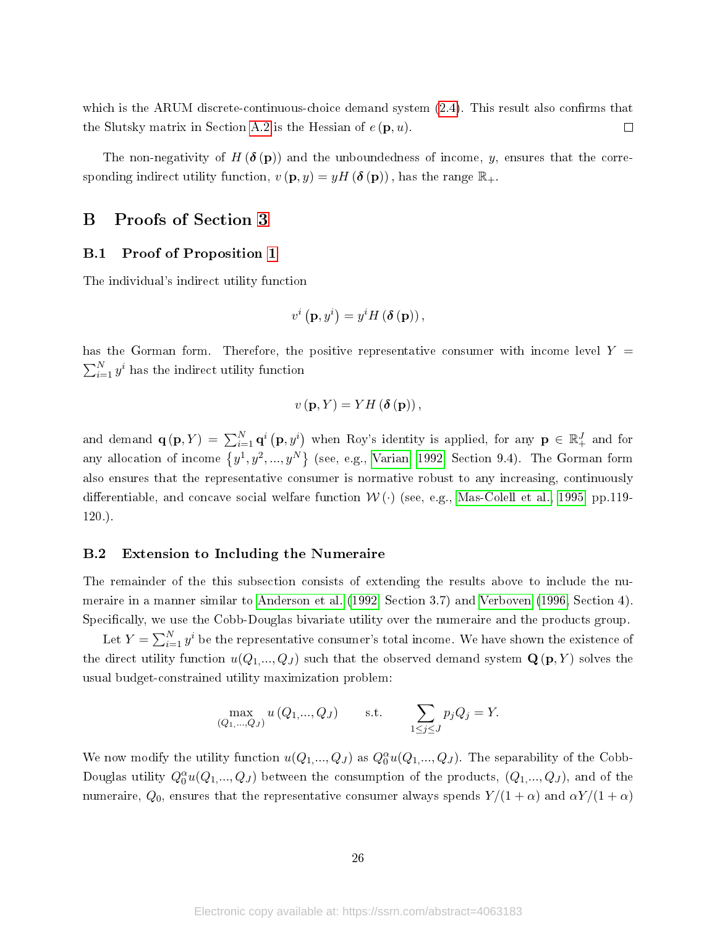which is the ARUM discrete-continuous-choice demand system  $(2.4)$ . This result also confirms that the Slutsky matrix in Section [A.2](#page-22-0) is the Hessian of  $e(\mathbf{p}, u)$ .  $\Box$ 

The non-negativity of  $H(\delta(\mathbf{p}))$  and the unboundedness of income, y, ensures that the corresponding indirect utility function,  $v(\mathbf{p}, y) = yH(\delta(\mathbf{p}))$ , has the range  $\mathbb{R}_+$ .

## <span id="page-25-0"></span>B Proofs of Section [3](#page-7-0)

## B.1 Proof of Proposition [1](#page-8-0)

The individual's indirect utility function

$$
v^{i}\left(\mathbf{p},y^{i}\right)=y^{i}H\left(\boldsymbol{\delta}\left(\mathbf{p}\right)\right),\,
$$

has the Gorman form. Therefore, the positive representative consumer with income level  $Y =$  $\sum_{i=1}^{N} y^{i}$  has the indirect utility function

$$
v(\mathbf{p},Y)=YH\left(\boldsymbol{\delta}\left(\mathbf{p}\right)\right),
$$

and demand  $\mathbf{q}(\mathbf{p},Y) = \sum_{i=1}^{N} \mathbf{q}^i \left( \mathbf{p}, y^i \right)$  when Roy's identity is applied, for any  $\mathbf{p} \in \mathbb{R}_+^J$  and for any allocation of income  $\{y^1, y^2, ..., y^N\}$  (see, e.g., [Varian, 1992,](#page-19-15) Section 9.4). The Gorman form also ensures that the representative consumer is normative robust to any increasing, continuously differentiable, and concave social welfare function  $W(\cdot)$  (see, e.g., [Mas-Colell et al., 1995,](#page-18-13) pp.119-120.).

### <span id="page-25-1"></span>B.2 Extension to Including the Numeraire

The remainder of the this subsection consists of extending the results above to include the numeraire in a manner similar to [Anderson et al.](#page-16-2) [\(1992,](#page-16-2) Section 3.7) and [Verboven](#page-19-1) [\(1996,](#page-19-1) Section 4). Specifically, we use the Cobb-Douglas bivariate utility over the numeraire and the products group.

Let  $Y = \sum_{i=1}^{N} y^i$  be the representative consumer's total income. We have shown the existence of the direct utility function  $u(Q_1,...,Q_J)$  such that the observed demand system  $\mathbf{Q}(\mathbf{p}, Y)$  solves the usual budget-constrained utility maximization problem:

$$
\max_{(Q_1, ..., Q_J)} u(Q_1, ..., Q_J) \quad \text{s.t.} \quad \sum_{1 \le j \le J} p_j Q_j = Y.
$$

We now modify the utility function  $u(Q_1,...,Q_J)$  as  $Q_0^{\alpha}u(Q_1,...,Q_J)$ . The separability of the Cobb-Douglas utility  $Q_0^{\alpha}u(Q_1,...,Q_J)$  between the consumption of the products,  $(Q_1,...,Q_J)$ , and of the numeraire,  $Q_0$ , ensures that the representative consumer always spends  $Y/(1+\alpha)$  and  $\alpha Y/(1+\alpha)$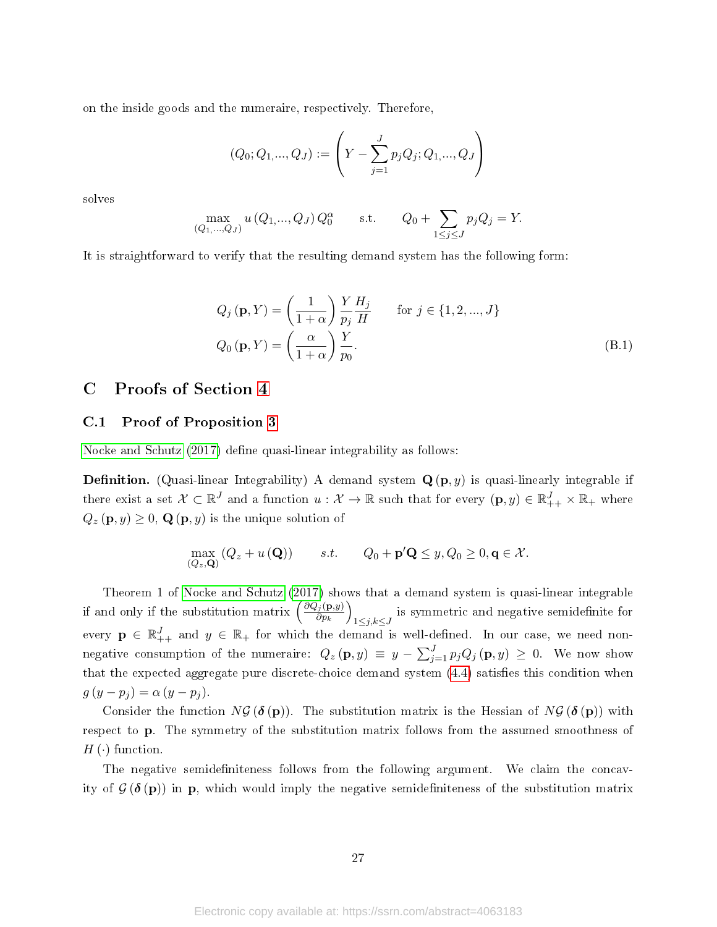on the inside goods and the numeraire, respectively. Therefore,

$$
(Q_0; Q_{1, \ldots, Q_J}) := \left( Y - \sum_{j=1}^{J} p_j Q_j; Q_{1, \ldots, Q_J} \right)
$$

solves

$$
\max_{(Q_1, ..., Q_J)} u (Q_1, ..., Q_J) Q_0^{\alpha} \quad \text{s.t.} \quad Q_0 + \sum_{1 \le j \le J} p_j Q_j = Y.
$$

It is straightforward to verify that the resulting demand system has the following form:

$$
Q_j(\mathbf{p}, Y) = \left(\frac{1}{1+\alpha}\right) \frac{Y}{p_j} \frac{H_j}{H} \quad \text{for } j \in \{1, 2, ..., J\}
$$
  

$$
Q_0(\mathbf{p}, Y) = \left(\frac{\alpha}{1+\alpha}\right) \frac{Y}{p_0}.
$$
 (B.1)

# C Proofs of Section [4](#page-13-0)

#### <span id="page-26-0"></span>C.1 Proof of Proposition [3](#page-15-1)

[Nocke and Schutz](#page-19-6)  $(2017)$  define quasi-linear integrability as follows:

**Definition.** (Quasi-linear Integrability) A demand system  $Q(p, y)$  is quasi-linearly integrable if there exist a set  $\mathcal{X} \subset \mathbb{R}^J$  and a function  $u: \mathcal{X} \to \mathbb{R}$  such that for every  $(\mathbf{p}, y) \in \mathbb{R}^J_{++} \times \mathbb{R}_+$  where  $Q_z(\mathbf{p}, y) \geq 0$ ,  $\mathbf{Q}(\mathbf{p}, y)$  is the unique solution of

$$
\max_{(Q_z,\mathbf{Q})} (Q_z + u(\mathbf{Q})) \qquad s.t. \qquad Q_0 + \mathbf{p}'\mathbf{Q} \le y, Q_0 \ge 0, \mathbf{q} \in \mathcal{X}.
$$

Theorem 1 of [Nocke and Schutz](#page-19-6) [\(2017\)](#page-19-6) shows that a demand system is quasi-linear integrable if and only if the substitution matrix  $\left(\frac{\partial Q_j(\mathbf{p},y)}{\partial w}\right)$  $\partial p_k$  $\setminus$ 1≤j,k≤J is symmetric and negative semidefinite for every  $\mathbf{p} \in \mathbb{R}_{++}^J$  and  $y \in \mathbb{R}_+$  for which the demand is well-defined. In our case, we need nonnegative consumption of the numeraire:  $Q_z(\mathbf{p},y) \equiv y - \sum_{j=1}^J p_j Q_j(\mathbf{p},y) \ge 0$ . We now show that the expected aggregate pure discrete-choice demand system  $(4.4)$  satisfies this condition when  $g(y - p_j) = \alpha (y - p_j).$ 

Consider the function  $N\mathcal{G}(\delta(\mathbf{p}))$ . The substitution matrix is the Hessian of  $N\mathcal{G}(\delta(\mathbf{p}))$  with respect to p. The symmetry of the substitution matrix follows from the assumed smoothness of  $H(\cdot)$  function.

The negative semidefiniteness follows from the following argument. We claim the concavity of  $\mathcal{G}(\delta(\mathbf{p}))$  in **p**, which would imply the negative semidefiniteness of the substitution matrix